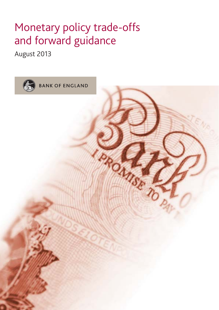# Monetary policy trade-offs and forward guidance

August 2013

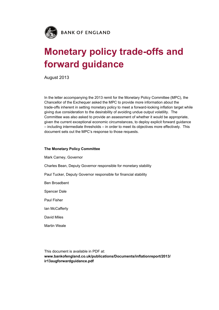

# **Monetary policy trade-offs and forward guidance**

August 2013

In the letter accompanying the 2013 remit for the Monetary Policy Committee (MPC), the Chancellor of the Exchequer asked the MPC to provide more information about the trade-offs inherent in setting monetary policy to meet a forward-looking inflation target while giving due consideration to the desirability of avoiding undue output volatility. The Committee was also asked to provide an assessment of whether it would be appropriate, given the current exceptional economic circumstances, to deploy explicit forward guidance – including intermediate thresholds – in order to meet its objectives more effectively. This document sets out the MPC's response to those requests.

#### **The Monetary Policy Committee**

Mark Carney, Governor Charles Bean, Deputy Governor responsible for monetary stability Paul Tucker, Deputy Governor responsible for financial stability Ben Broadbent Spencer Dale Paul Fisher Ian McCafferty David Miles Martin Weale

This document is available in PDF at: **[www.bankofengland.co.uk/publications/Documents/inflationreport/2013/](www.bankofengland.co.uk/publications/Documents/inflationreport/2013/ir13augforwardguidance.pdf)  ir13augforwardguidance.pdf**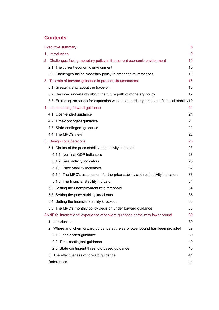# **Contents**

| <b>Executive summary</b>                                                                    | 5  |
|---------------------------------------------------------------------------------------------|----|
| 1. Introduction                                                                             | 9  |
| 2. Challenges facing monetary policy in the current economic environment                    | 10 |
| 2.1 The current economic environment                                                        | 10 |
| 2.2 Challenges facing monetary policy in present circumstances                              | 13 |
| 3. The role of forward guidance in present circumstances                                    | 16 |
| 3.1 Greater clarity about the trade-off                                                     | 16 |
| 3.2 Reduced uncertainty about the future path of monetary policy                            | 17 |
| 3.3 Exploring the scope for expansion without jeopardising price and financial stability 19 |    |
| 4. Implementing forward guidance                                                            | 21 |
| 4.1 Open-ended guidance                                                                     | 21 |
| 4.2 Time-contingent guidance                                                                | 21 |
| 4.3 State-contingent guidance                                                               | 22 |
| 4.4 The MPC's view                                                                          | 22 |
| 5. Design considerations                                                                    | 23 |
| 5.1 Choice of the price stability and activity indicators                                   | 23 |
| 5.1.1 Nominal GDP indicators                                                                | 23 |
| 5.1.2 Real activity indicators                                                              | 26 |
| 5.1.3 Price stability indicators                                                            | 32 |
| 5.1.4 The MPC's assessment for the price stability and real activity indicators             | 33 |
| 5.1.5 The financial stability indicator                                                     | 34 |
| 5.2 Setting the unemployment rate threshold                                                 | 34 |
| 5.3 Setting the price stability knockouts                                                   | 35 |
| 5.4 Setting the financial stability knockout                                                | 38 |
| 5.5 The MPC's monthly policy decision under forward guidance                                | 38 |
| ANNEX: International experience of forward guidance at the zero lower bound                 | 39 |
| 1. Introduction                                                                             | 39 |
| 2. Where and when forward guidance at the zero lower bound has been provided                | 39 |
| 2.1 Open-ended guidance                                                                     | 39 |
| 2.2 Time-contingent guidance                                                                | 40 |
| 2.3 State contingent threshold based guidance                                               | 40 |
| 3. The effectiveness of forward guidance                                                    | 41 |
| References                                                                                  | 44 |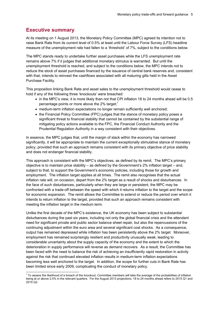## **Executive summary**

At its meeting on 1 August 2013, the Monetary Policy Committee (MPC) agreed its intention not to raise Bank Rate from its current level of 0.5% at least until the Labour Force Survey (LFS) headline measure of the unemployment rate had fallen to a 'threshold' of 7%, subject to the conditions below.

The MPC stands ready to undertake further asset purchases while the LFS unemployment rate remains above 7% if it judges that additional monetary stimulus is warranted. But until the unemployment threshold is reached, and subject to the conditions below, the MPC intends not to reduce the stock of asset purchases financed by the issuance of central bank reserves and, consistent with that, intends to reinvest the cashflows associated with all maturing gilts held in the Asset Purchase Facility.

This proposition linking Bank Rate and asset sales to the unemployment threshold would cease to hold if any of the following three 'knockouts' were breached:

- in the MPC's view, it is more likely than not that CPI inflation 18 to 24 months ahead will be 0.5 percentage points or more above the 2% target;<sup>1</sup>
- medium-term inflation expectations no longer remain sufficiently well anchored;
- the Financial Policy Committee (FPC) judges that the stance of monetary policy poses a significant threat to financial stability that cannot be contained by the substantial range of mitigating policy actions available to the FPC, the Financial Conduct Authority and the Prudential Regulation Authority in a way consistent with their objectives.

In essence, the MPC judges that, until the margin of slack within the economy has narrowed significantly, it will be appropriate to maintain the current exceptionally stimulative stance of monetary policy, provided that such an approach remains consistent with its primary objective of price stability and does not endanger financial stability.

This approach is consistent with the MPC's objectives, as defined by its remit. The MPC's primary objective is to maintain price stability – as defined by the Government's 2% inflation target – and, subject to that, to support the Government's economic policies, including those for growth and employment. The inflation target applies at all times. The remit also recognises that the actual inflation rate will, on occasion, depart from the 2% target as a result of shocks and disturbances. In the face of such disturbances, particularly when they are large or persistent, the MPC may be confronted with a trade-off between the speed with which it returns inflation to the target and the scope for economic expansion. The remit allows the Committee to extend or reduce the period over which it intends to return inflation to the target, provided that such an approach remains consistent with meeting the inflation target in the medium term.

Unlike the first decade of the MPC's existence, the UK economy has been subject to substantial disturbances during the past six years, including not only the global financial crisis and the attendant need for significant private and public sector balance sheet repair, but also the repercussions of the continuing adjustment within the euro area and several significant cost shocks. As a consequence, output has remained depressed while inflation has been persistently above the 2% target. Moreover, employment has remained surprisingly resilient and productivity unusually weak, leading to considerable uncertainty about the supply capacity of the economy and the extent to which the deterioration in supply performance will reverse as demand recovers. As a result, the Committee has been faced with the need to balance the risk of achieving an insufficiently rapid restoration in activity against the risk that continued elevated inflation results in medium-term inflation expectations becoming less well anchored to the target. In addition, the scope for further cuts in Bank Rate has been limited since early 2009, complicating the conduct of monetary policy.

<sup>-</sup> $1$  To assess the likelihood of a breach of the knockout, Committee members will take the average of the probabilities of inflation being at or above 2.5% in the relevant quarters. For the August 2013 projections, 18 to 24 months ahead refers to 2015 Q1 and 2015 Q2.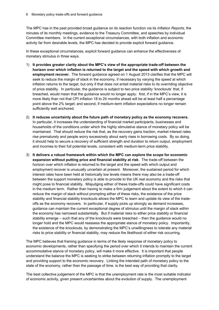The MPC has in the past provided broad guidance on its reaction function via its *Inflation Reports,* the minutes of its monthly meetings, evidence to the Treasury Committee, and speeches by individual Committee members. In the current exceptional circumstances, with both inflation and economic activity far from desirable levels, the MPC has decided to provide explicit forward guidance.

In these exceptional circumstances, explicit forward guidance can enhance the effectiveness of monetary stimulus in three ways.

- 1) **It provides greater clarity about the MPC's view of the appropriate trade-off between the horizon over which inflation is returned to the target and the speed with which growth and employment recover.** The forward guidance agreed on 1 August 2013 clarifies that the MPC will seek to reduce the margin of slack in the economy, if necessary by varying the speed at which inflation returns to the target, but only if that does not entail material risks to its overriding objective of price stability. In particular, the guidance is subject to two price stability 'knockouts' that, if breached, would mean that the guidance would no longer apply: first, if in the MPC's view, it is more likely than not that CPI inflation 18 to 24 months ahead will be at least half a percentage point above the 2% target; and second, if medium-term inflation expectations no longer remain sufficiently well anchored.
- 2) **It reduces uncertainty about the future path of monetary policy as the economy recovers.** In particular, it increases the understanding of financial market participants, businesses and households of the conditions under which the highly stimulative stance of monetary policy will be maintained. That should reduce the risk that, as the recovery gains traction, market interest rates rise prematurely and people worry excessively about early rises in borrowing costs. By so doing, it should help to secure a recovery of sufficient strength and duration to return output, employment and incomes to their full potential levels, consistent with medium-term price stability.
- 3) **It delivers a robust framework within which the MPC can explore the scope for economic expansion without putting price and financial stability at risk**. The trade-off between the horizon over which inflation is returned to the target and the speed with which output and employment recover is unusually uncertain at present. Moreover, the sustained period for which interest rates have been held at historically low levels means there may also be a trade-off between the support monetary policy is able to provide to the UK real economy and the risks that might pose to financial stability. Misjudging either of these trade-offs could have significant costs in the medium term. Rather than having to make a firm judgement about the extent to which it can reduce the margin of slack without prompting either of these risks, the existence of the price stability and financial stability knockouts allows the MPC to learn and update its view of the tradeoffs as the economy recovers. In particular, if supply picks up strongly as demand increases, guidance can maintain the current exceptional degree of stimulus until the margin of slack within the economy has narrowed substantially. But if material risks to either price stability or financial stability emerge – such that any of the knockouts were breached – then the guidance would no longer hold and the MPC would reassess the appropriate stance of monetary policy. Importantly, the existence of the knockouts, by demonstrating the MPC's unwillingness to tolerate any material risks to price stability or financial stability, may reduce the likelihood of either risk occurring.

The MPC believes that framing guidance in terms of the likely response of monetary policy to economic developments, rather than specifying the period over which it intends to maintain the current accommodative stance of monetary policy, will make it more effective. It is important that people understand the balance the MPC is seeking to strike between returning inflation promptly to the target and providing support to the economic recovery. Linking the intended path of monetary policy to the state of the economy, rather than the passage of time, is the best way of providing that clarity.

The best collective judgement of the MPC is that the unemployment rate is the most suitable indicator of economic activity, given present uncertainties about the evolution of supply. The unemployment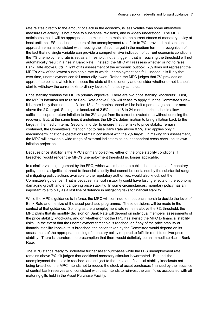rate relates directly to the amount of slack in the economy, is less volatile than some alternative measures of activity, is not prone to substantial revisions, and is widely understood. The MPC anticipates that it will be appropriate at a minimum to maintain the current stance of monetary policy at least until the LFS headline measure of the unemployment rate falls to 7%, provided that such an approach remains consistent with meeting the inflation target in the medium term. In recognition of the fact that no single variable can provide a comprehensive indication of current economic conditions, the 7% unemployment rate is set as a 'threshold', not a 'trigger': that is, reaching the threshold will not automatically result in a rise in Bank Rate. Instead, the MPC will reassess whether or not to raise Bank Rate above 0.5% in light of its assessment of the economic outlook. 7% does not represent the MPC's view of the lowest sustainable rate to which unemployment can fall. Indeed, it is likely that, over time, unemployment can fall materially lower. Rather, the MPC judges that 7% provides an appropriate point at which to reassess the state of the economy and consider whether or not it should start to withdraw the current extraordinary levels of monetary stimulus.

Price stability remains the MPC's primary objective. There are two price stability 'knockouts'. First, the MPC's intention not to raise Bank Rate above 0.5% will cease to apply if, in the Committee's view, it is more likely than not that inflation 18 to 24 months ahead will be half a percentage point or more above the 2% target. Setting this knockout at 2.5% at the 18 to 24-month horizon should allow sufficient scope to return inflation to the 2% target from its current elevated rate without derailing the recovery. But, at the same time, it underlines the MPC's determination to bring inflation back to the target in the medium term. Second, in order to ensure that the risks to price stability remain contained, the Committee's intention not to raise Bank Rate above 0.5% also applies only if medium-term inflation expectations remain consistent with the 2% target. In making this assessment, the MPC will draw on a wide range of external indicators as an independent cross-check on its own inflation projection.

Because price stability is the MPC's primary objective, either of the price stability conditions, if breached, would render the MPC's unemployment threshold no longer applicable.

In a similar vein, a judgement by the FPC, which would be made public, that the stance of monetary policy poses a significant threat to financial stability that cannot be contained by the substantial range of mitigating policy actions available to the regulatory authorities, would also knock out the Committee's guidance. That is because financial instability could have lasting effects on the economy, damaging growth and endangering price stability. In some circumstances, monetary policy has an important role to play as a last line of defence in mitigating risks to financial stability.

While the MPC's guidance is in force, the MPC will continue to meet each month to decide the level of Bank Rate and the size of the asset purchase programme. These decisions will be made in the context of that guidance. So long as the unemployment rate remains above the 7% threshold, the MPC plans that its monthly decision on Bank Rate will depend on individual members' assessments of the price stability knockouts, and on whether or not the FPC has alerted the MPC to financial stability risks. In the event that the unemployment threshold is reached, or if any of the price stability or financial stability knockouts is breached, the action taken by the Committee would depend on its assessment of the appropriate setting of monetary policy required to fulfil its remit to deliver price stability. There is, therefore, no presumption that there would definitely be an immediate rise in Bank Rate.

The MPC stands ready to undertake further asset purchases while the LFS unemployment rate remains above 7% if it judges that additional monetary stimulus is warranted. But until the unemployment threshold is reached, and subject to the price and financial stability knockouts not being breached, the MPC intends not to reduce the stock of asset purchases financed by the issuance of central bank reserves and, consistent with that, intends to reinvest the cashflows associated with all maturing gilts held in the Asset Purchase Facility.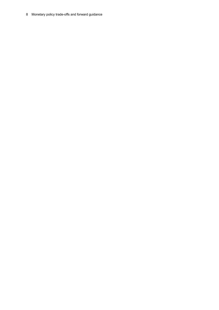8 Monetary policy trade-offs and forward guidance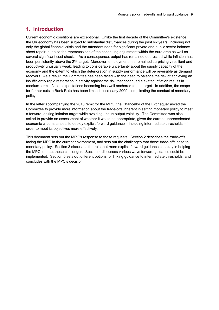## **1. Introduction**

Current economic conditions are exceptional. Unlike the first decade of the Committee's existence, the UK economy has been subject to substantial disturbances during the past six years, including not only the global financial crisis and the attendant need for significant private and public sector balance sheet repair, but also the repercussions of the continuing adjustment within the euro area as well as several significant cost shocks. As a consequence, output has remained depressed while inflation has been persistently above the 2% target. Moreover, employment has remained surprisingly resilient and productivity unusually weak, leading to considerable uncertainty about the supply capacity of the economy and the extent to which the deterioration in supply performance will be reversible as demand recovers. As a result, the Committee has been faced with the need to balance the risk of achieving an insufficiently rapid restoration in activity against the risk that continued elevated inflation results in medium-term inflation expectations becoming less well anchored to the target. In addition, the scope for further cuts in Bank Rate has been limited since early 2009, complicating the conduct of monetary policy.

In the letter accompanying the 2013 remit for the MPC, the Chancellor of the Exchequer asked the Committee to provide more information about the trade-offs inherent in setting monetary policy to meet a forward-looking inflation target while avoiding undue output volatility. The Committee was also asked to provide an assessment of whether it would be appropriate, given the current unprecedented economic circumstances, to deploy explicit forward guidance – including intermediate thresholds – in order to meet its objectives more effectively.

This document sets out the MPC's response to those requests. Section 2 describes the trade-offs facing the MPC in the current environment, and sets out the challenges that those trade-offs pose to monetary policy. Section 3 discusses the role that more explicit forward guidance can play in helping the MPC to meet those challenges. Section 4 discusses various ways forward guidance could be implemented. Section 5 sets out different options for linking guidance to intermediate thresholds, and concludes with the MPC's decision.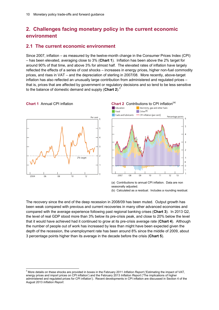# **2. Challenges facing monetary policy in the current economic environment**

## **2.1 The current economic environment**

Since 2007, inflation – as measured by the twelve-month change in the Consumer Prices Index (CPI) – has been elevated, averaging close to 3% (**Chart 1**). Inflation has been above the 2% target for around 90% of that time, and above 3% for almost half. The elevated rates of inflation have largely reflected the effects of a series of cost shocks – increases in energy prices, higher non-fuel commodity prices, and rises in VAT – and the depreciation of sterling in 2007/08. More recently, above-target inflation has also reflected an unusually large contribution from administered and regulated prices – that is, prices that are affected by government or regulatory decisions and so tend to be less sensitive to the balance of domestic demand and supply (Chart 2).<sup>2</sup>



1





(a) Contributions to annual CPI inflation. Data are non seasonally adjusted.

(b) Calculated as a residual. Includes a rounding residual.

The recovery since the end of the deep recession in 2008/09 has been muted. Output growth has been weak compared with previous and current recoveries in many other advanced economies and compared with the average experience following past regional banking crises (**Chart 3**). In 2013 Q2, the level of real GDP stood more than 3% below its pre-crisis peak, and close to 20% below the level that it would have achieved had it continued to grow at its pre-crisis average rate (**Chart 4**). Although the number of people out of work has increased by less than might have been expected given the depth of the recession, the unemployment rate has been around 8% since the middle of 2009, about 3 percentage points higher than its average in the decade before the crisis (**Chart 5**).

<sup>&</sup>lt;sup>2</sup> More details on these shocks are provided in boxes in the February 2011 Inflation Report ('Estimating the impact of VAT, energy prices and import prices on CPI inflation') and the February 2013 *Inflation Report* ('The implications of higher administered and regulated prices for CPI inflation'). Recent developments in CPI inflation are discussed in Section 4 of the August 2013 *Inflation Report*.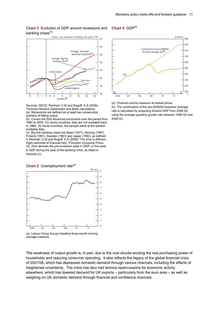#### **Chart 3** Evolution of GDP around recessions and banking crises<sup>(a)</sup>



Sources: OECD, Reinhart, C.M and Rogoff, K.S (2008), Thomson Reuters Datastream and Bank calculations. (a) Recessions are defined as at least two consecutive quarters of falling output.

(b) Covers the G20 advanced economies over the period from 1960 to 2006. For some countries, data are not available back to 1960; for those countries, the sample starts at the earliest available date.

(c) Big five banking crises are Spain (1977), Norway (1987) Finland (1991), Sweden (1991) and Japan (1992), as defined in Reinhart, C.M and Rogoff, K.S (2008) 'This time is different. Eight centuries of financial folly', Princeton University Press. (d) Zero denotes the pre-recession peak in GDP, or the peak in GDP during the year of the banking crisis, as listed in footnote (c).

#### **Chart 5** Unemployment rate<sup>(a)</sup>



(a) Labour Force Survey headline three-month moving average measure.

The weakness of output growth is, in part, due to the cost shocks eroding the real purchasing power of households and reducing consumer spending. It also reflects the legacy of the global financial crisis of 2007/08, which has depressed domestic demand through various channels, including the effects of heightened uncertainty. The crisis has also had serious repercussions for economic activity elsewhere, which has lowered demand for UK exports – particularly from the euro area – as well as weighing on UK domestic demand through financial and confidence channels.

#### **Chart 4** GDP(a)



(a) Chained-volume measure at market prices.

(b) The continuation of the pre-2008/09 recession average rate is calculated by projecting forward GDP from 2008 Q2 using the average quarterly growth rate between 1999 Q3 and 2008 Q1.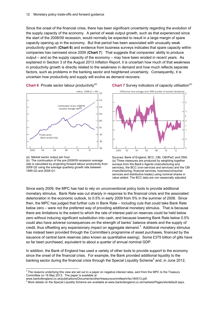Since the onset of the financial crisis, there has been significant uncertainty regarding the evolution of the supply capacity of the economy. A period of weak output growth, such as that experienced since the start of the 2008/09 recession, would normally be expected to result in a large margin of spare capacity opening up in the economy. But that period has been associated with unusually weak productivity growth (**Chart 6**) and evidence from business surveys indicates that spare capacity within companies has narrowed since 2009 (**Chart 7**). That suggests that companies' ability to produce output – and so the supply capacity of the economy – may have been eroded in recent years. As explained in Section 3 of the August 2013 *Inflation Report*, it is uncertain how much of that weakness in productivity growth is directly related to the weakness in demand and how much reflects separate factors, such as problems in the banking sector and heightened uncertainty. Consequently, it is uncertain how productivity and supply will evolve as demand recovers.



**Chart 6** Private sector labour productivity<sup>(a)</sup>



#### **Chart 7** Survey indicators of capacity utilisation<sup>(a)</sup>



Sources: Bank of England, BCC, CBI, CBI/PwC and ONS. (a) Three measures are produced by weighting together surveys from the Bank's Agents (manufacturing and services), the BCC (non-services and services) and the CBI (manufacturing, financial services, business/consumer services and distributive trades) using nominal shares in value added. The BCC data are non seasonally adjusted.

Since early 2009, the MPC has had to rely on unconventional policy tools to provide additional monetary stimulus. Bank Rate was cut sharply in response to the financial crisis and the associated deterioration in the economic outlook, to 0.5% in early 2009 from 5% in the summer of 2008. Since then, the MPC has judged that further cuts in Bank Rate – including cuts that could take Bank Rate below zero – were not the preferred way of providing additional monetary stimulus. That is because there are limitations to the extent to which the rate of interest paid on reserves could be held below zero without inducing significant substitution into cash, and because lowering Bank Rate below 0.5% could also have adverse consequences on the strength of banks' balance sheets and the supply of credit, thus offsetting any expansionary impact on aggregate demand. $3$  Additional monetary stimulus has instead been provided through the Committee's programme of asset purchases, financed by the issuance of central bank reserves (also known as quantitative easing). Some £375 billion of gilts have so far been purchased, equivalent to about a quarter of annual nominal GDP.

In addition, the Bank of England has used a variety of other tools to provide support to the economy since the onset of the financial crisis. For example, the Bank provided additional liquidity to the banking sector during the financial crisis through the Special Liquidity Scheme<sup>4</sup> and, in June 2012,

 3 The reasons underlying this view are set out in a paper on negative interest rates, sent from the MPC to the Treasury Committee on 16 May 2013. The paper is available at

www.bankofengland.co.uk/publications/Documents/other/treasurycommittee/ir/tsc160513.pdf. 4

<sup>&</sup>lt;sup>4</sup> More details on the Special Liquidity Scheme are available at www.bankofengland.co.uk/markets/Pages/sls/default.aspx.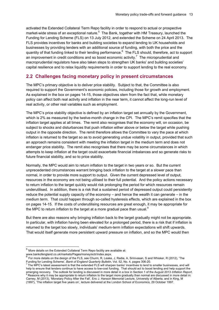activated the Extended Collateral Term Repo facility in order to respond to actual or prospective market-wide stress of an exceptional nature.<sup>5</sup> The Bank, together with HM Treasury, launched the Funding for Lending Scheme (FLS) on 13 July 2012, and extended the Scheme on 24 April 2013. The FLS provides incentives for banks and building societies to expand lending to UK households and businesses by providing lenders with an additional source of funding, with both the price and the quantity of that funding linked to their lending performance.<sup>6</sup> The FLS should, therefore, act to support an improvement in credit conditions and so boost economic activity.<sup>7</sup> The microprudential and macroprudential regulators have also taken steps to strengthen UK banks' and building societies' capital resilience and to relax liquidity requirements in order to support lending to the real economy.

## **2.2 Challenges facing monetary policy in present circumstances**

The MPC's primary objective is to deliver price stability. Subject to that, the Committee is also required to support the Government's economic policies, including those for growth and employment. As explained in the box on pages 14-15, those objectives stem from the fact that, while monetary policy can affect both real activity and inflation in the near term, it cannot affect the long-run level of real activity, or other real variables such as employment.

The MPC's price stability objective is defined by an inflation target set annually by the Government, which is 2% as measured by the twelve-month change in the CPI. The MPC's remit specifies that the inflation target applies at all times. The remit also recognises that the economy will, on occasion, be subject to shocks and disturbances that push inflation either above or below the target while pushing output in the opposite direction. The remit therefore allows the Committee to vary the pace at which inflation is returned to the target so as to avoid generating undue volatility in output, provided that such an approach remains consistent with meeting the inflation target in the medium term and does not endanger price stability. The remit also recognises that there may be some circumstances in which attempts to keep inflation at the target could exacerbate financial imbalances and so generate risks to future financial stability, and so to price stability.

Normally, the MPC would aim to return inflation to the target in two years or so. But the current unprecedented circumstances warrant bringing back inflation to the target at a slower pace than normal, in order to provide more support to output. Given the current depressed level of output, resources in the economy are not being utilised to their full potential. And the policy actions necessary to return inflation to the target quickly would risk prolonging the period for which resources remain underutilised. In addition, there is a risk that a sustained period of depressed output could persistently reduce the potential supply capacity of the economy – and hence the wealth it can generate – in the medium term. That could happen through so-called hysteresis effects, which are explained in the box on pages 14-15. If the costs of underutilising resources are great enough, it may be appropriate for the MPC to return inflation to the target at a more gradual pace than usual.<sup>8</sup>

But there are also reasons why bringing inflation back to the target gradually might not be appropriate. In particular, with inflation having been elevated for a prolonged period, there is a risk that if inflation is returned to the target too slowly, individuals' medium-term inflation expectations will shift upwards. That would itself generate more persistent upward pressure on inflation, and so the MPC would then

-

 $<sup>5</sup>$  More details on the Extended Collateral Term Repo facility are available at:</sup>

www.bankofengland.co.uk/markets/Pages/money/ectr/index.aspx.<br><sup>6</sup> For more details on the design of the FLS, see Churm, R, Leake, J, Radia, A, Srinivasan, S and Whisker, R (2012), 'The Funding for Lending Scheme', *Bank of England Quarterly Bulletin*, Vol. 52, No. 4, pages 306-20. 7

The MPC's latest assessment is that the extended FLS will sharpen banks' incentives to lend to smaller businesses, and will help to ensure that lenders continue to have access to low-cost funding. That should act to boost lending and help support the emerging recovery. The outlook for lending is discussed in more detail in a box in Section 1 of the August 2013 *Inflation Report*. 8  $8$  Reasons why it may be appropriate to return inflation to the target more gradually than normal are discussed in more detail in: Carney, M (2013), 'Monetary Policy After the Fall', Eric J. Hanson Memorial Lecture, University of Alberta, and in King, M (1997), 'The inflation target five years on', lecture delivered at the London School of Economics, 29 October 1997.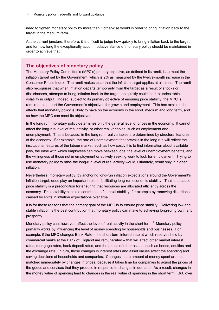need to tighten monetary policy by more than it otherwise would in order to bring inflation back to the target in the medium term.

At the current juncture, therefore, it is difficult to judge how quickly to bring inflation back to the target, and for how long the exceptionally accommodative stance of monetary policy should be maintained in order to achieve that.

## **The objectives of monetary policy**

The Monetary Policy Committee's (MPC's) primary objective, as defined in its remit, is to meet the inflation target set by the Government, which is 2% as measured by the twelve-month increase in the Consumer Prices Index. The remit makes clear that the inflation target applies at all times. The remit also recognises that when inflation departs temporarily from the target as a result of shocks or disturbances, attempts to bring inflation back to the target too quickly could lead to undesirable volatility in output. Indeed, subject to its primary objective of ensuring price stability, the MPC is required to support the Government's objectives for growth and employment. This box explains the effects that monetary policy is likely to have on the economy in the short, medium and long term, and so how the MPC can meet its objectives.

In the long run, monetary policy determines only the general level of prices in the economy. It cannot affect the long-run level of real activity, or other real variables, such as employment and unemployment. That is because, in the long run, real variables are determined by structural features of the economy. For example, the rate of unemployment that prevails in the long run will reflect the institutional features of the labour market, such as how costly it is to find information about available jobs, the ease with which employees can move between jobs, the level of unemployment benefits, and the willingness of those not in employment or actively seeking work to look for employment. Trying to use monetary policy to raise the long-run level of real activity would, ultimately, result only in higher inflation.

Nevertheless, monetary policy, by anchoring long-run inflation expectations around the Government's inflation target, does play an important role in facilitating long-run economic stability. That is because price stability is a precondition for ensuring that resources are allocated efficiently across the economy. Price stability can also contribute to financial stability, for example by removing distortions caused by shifts in inflation expectations over time.

It is for these reasons that the primary goal of the MPC is to ensure price stability. Delivering low and stable inflation is the best contribution that monetary policy can make to achieving long-run growth and prosperity.

Monetary policy can, however, affect the level of real activity in the short term.<sup>1</sup> Monetary policy primarily works by influencing the level of money spending by households and businesses. For example, if the MPC changes Bank Rate – the short-term interest rate at which reserves held by commercial banks at the Bank of England are remunerated – that will affect other market interest rates, mortgage rates, bank deposit rates, and the prices of other assets, such as bonds, equities and the exchange rate. In turn, those changes in interest rates and asset values affect the spending and saving decisions of households and companies. Changes in the amount of money spent are not matched immediately by changes in prices, because it takes time for companies to adjust the prices of the goods and services that they produce in response to changes in demand. As a result, changes in the money value of spending lead to changes in the real value of spending in the short term. But, over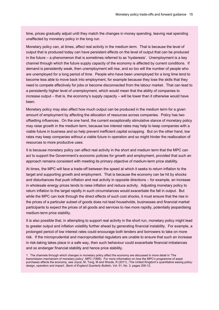time, prices gradually adjust until they match the changes in money spending, leaving real spending unaffected by monetary policy in the long run.

Monetary policy can, at times, affect real activity in the medium term. That is because the level of output that is produced today can have persistent effects on the level of output that can be produced in the future – a phenomenon that is sometimes referred to as 'hysteresis'. Unemployment is a key channel through which the future supply capacity of the economy is affected by current conditions. If demand is persistently weak, then unemployment will rise, and so too will the number of people who are unemployed for a long period of time. People who have been unemployed for a long time tend to become less able to move back into employment, for example because they lose the skills that they need to compete effectively for jobs or become disconnected from the labour market. That can lead to a persistently higher level of unemployment, which would mean that the ability of companies to increase output – that is, the economy's supply capacity – will be lower than it otherwise would have been.

Monetary policy may also affect how much output can be produced in the medium term for a given amount of employment by affecting the allocation of resources across companies. Policy has two offsetting influences. On the one hand, the current exceptionally stimulative stance of monetary policy may raise growth in the medium term, because low interest rates may help to keep companies with a viable future in business and so help prevent inefficient capital scrapping. But on the other hand, low rates may keep companies without a viable future in operation and so might hinder the reallocation of resources to more productive uses.

It is because monetary policy can affect real activity in the short and medium term that the MPC can act to support the Government's economic policies for growth and employment, provided that such an approach remains consistent with meeting its primary objective of medium-term price stability.

At times, the MPC will face a trade-off between the speed at which it seeks to return inflation to the target and supporting growth and employment. That is because the economy can be hit by shocks and disturbances that push inflation and real activity in opposite directions – for example, an increase in wholesale energy prices tends to raise inflation and reduce activity. Adjusting monetary policy to return inflation to the target rapidly in such circumstances would exacerbate the fall in output. But while the MPC can look through the direct effects of such cost shocks, it must ensure that the rise in the prices of a particular subset of goods does not lead households, businesses and financial market participants to expect the prices of all goods and services to rise more rapidly, potentially jeopardising medium-term price stability.

It is also possible that, in attempting to support real activity in the short run, monetary policy might lead to greater output and inflation volatility further ahead by generating financial instability. For example, a prolonged period of low interest rates could encourage both lenders and borrowers to take on more risk. If the microprudential and macroprudential regulators are unable to ensure that such an increase in risk-taking takes place in a safe way, then such behaviour could exacerbate financial imbalances and so endanger financial stability and hence price stability.

1. The channels through which changes in monetary policy affect the economy are discussed in more detail in 'The transmission mechanism of monetary policy', MPC (1999). For more information on how the MPC's programme of asset purchases affects the economy, see Joyce, M, Tong, M and Woods, R (2011) , The United Kingdom's quantitative easing policy: design, operation and impact', *Bank of England Quarterly Bulletin*, Vol. 51, No. 3, pages 200-12.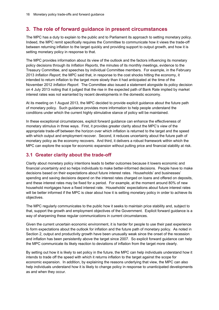# **3. The role of forward guidance in present circumstances**

The MPC has a duty to explain to the public and to Parliament its approach to setting monetary policy. Indeed, the MPC remit specifically requires the Committee to communicate how it views the trade-off between returning inflation to the target quickly and providing support to output growth, and how it is setting monetary policy in response to that.

The MPC provides information about its view of the outlook and the factors influencing its monetary policy decisions through its *Inflation Reports*, the minutes of its monthly meetings, evidence to the Treasury Committee, and speeches by individual Committee members. For example, in the February 2013 *Inflation Report*, the MPC said that, in response to the cost shocks hitting the economy, it intended to return inflation to the target more slowly than it had anticipated at the time of the November 2012 *Inflation Report*. The Committee also issued a statement alongside its policy decision on 4 July 2013 noting that it judged that the rise in the expected path of Bank Rate implied by market interest rates was not warranted by recent developments in the domestic economy.

At its meeting on 1 August 2013, the MPC decided to provide explicit guidance about the future path of monetary policy. Such guidance provides more information to help people understand the conditions under which the current highly stimulative stance of policy will be maintained.

In these exceptional circumstances, explicit forward guidance can enhance the effectiveness of monetary stimulus in three ways. First, it provides greater clarity about the MPC's view of the appropriate trade-off between the horizon over which inflation is returned to the target and the speed with which output and employment recover. Second, it reduces uncertainty about the future path of monetary policy as the economy recovers. And third, it delivers a robust framework within which the MPC can explore the scope for economic expansion without putting price and financial stability at risk.

## **3.1 Greater clarity about the trade-off**

Clarity about monetary policy intentions leads to better outcomes because it lowers economic and financial uncertainty and so helps individuals to make better-informed decisions. People have to make decisions based on their expectations about future interest rates. Households' and businesses' spending and saving decisions depend on the interest rates charged on loans and offered on deposits, and these interest rates may be fixed for a period. For example, at the moment around 80% of new household mortgages have a fixed interest rate. Households' expectations about future interest rates will be better informed if the MPC is clear about how it is setting monetary policy in order to achieve its objectives.

The MPC regularly communicates to the public how it seeks to maintain price stability and, subject to that, support the growth and employment objectives of the Government. Explicit forward guidance is a way of sharpening these regular communications in current circumstances.

Given the current uncertain economic environment, it is harder for people to use their past experience to form expectations about the outlook for inflation and the future path of monetary policy. As noted in Section 2, output and productivity growth have been unusually weak since the onset of the recession and inflation has been persistently above the target since 2007. So explicit forward guidance can help the MPC communicate its likely reaction to deviations of inflation from the target more clearly.

By setting out how it is likely to set policy in the future, the MPC can help individuals understand how it intends to trade off the speed with which it returns inflation to the target against the scope for economic expansion. In addition, by explaining the reasons underlying that view, the MPC can also help individuals understand how it is likely to change policy in response to unanticipated developments as and when they occur.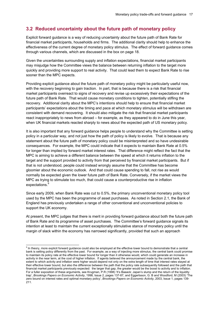## **3.2 Reduced uncertainty about the future path of monetary policy**

Explicit forward guidance is a way of reducing uncertainty about the future path of Bank Rate for financial market participants, households and firms. The additional clarity should help to enhance the effectiveness of the current degree of monetary policy stimulus. The effect of forward guidance comes through various channels, which are discussed in the box on page 18.

Given the uncertainties surrounding supply and inflation expectations, financial market participants may misjudge how the Committee views the balance between returning inflation to the target more quickly and providing more support to real activity. That could lead them to expect Bank Rate to rise sooner than the MPC expects.

Providing explicit guidance about the future path of monetary policy might be particularly useful now, with the recovery beginning to gain traction. In part, that is because there is a risk that financial market participants overreact to signs of recovery and revise up excessively their expectations of the future path of Bank Rate. That would cause monetary conditions to tighten, potentially stifling the recovery. Additional clarity about the MPC's intentions should help to ensure that financial market participants' expectations about the timing and pace at which monetary stimulus will be withdrawn are consistent with demand recovering. It should also mitigate the risk that financial market participants react inappropriately to news from abroad – for example, as they appeared to do in June this year, when UK financial markets reacted sharply to news about the expected path of US monetary policy.

It is also important that any forward guidance helps people to understand why the Committee is setting policy in a particular way, and not just how the path of policy is likely to evolve. That is because any statement about the future path of monetary policy could be misinterpreted and so have undesirable consequences. For example, the MPC could indicate that it expects to maintain Bank Rate at 0.5% for longer than implied by forward market interest rates. That difference might reflect the fact that the MPC is aiming to achieve a different balance between the speed at which it returns inflation to the target and the support provided to activity from that perceived by financial market participants. But if that is not understood, people could instead wrongly assume that the Committee has become gloomier about the economic outlook. And that could cause spending to fall, not rise as would normally be expected given the lower future path of Bank Rate. Conversely, if the market views the MPC as trying to stimulate too much, that could cause a counterproductive rise in inflation expectations.<sup>9</sup>

Since early 2009, when Bank Rate was cut to 0.5%, the primary unconventional monetary policy tool used by the MPC has been the programme of asset purchases. As noted in Section 2.1, the Bank of England has previously undertaken a range of other conventional and unconventional policies to support the UK economy.

At present, the MPC judges that there is merit in providing forward guidance about both the future path of Bank Rate and its programme of asset purchases. The Committee's forward guidance signals its intention at least to maintain the current exceptionally stimulative stance of monetary policy until the margin of slack within the economy has narrowed significantly, provided that such an approach

 9 In theory, more explicit forward guidance could also be employed at the effective lower bound to demonstrate that a central bank is setting policy differently from the past. For example, as a way of injecting more stimulus, the central bank could promise to maintain its policy rate at the effective lower bound for longer than it otherwise would, which could generate an increase in activity in the near term, at the cost of higher inflation. If agents believed the announcement made by the central bank, the extent to which activity and inflation were higher would depend not only on the extra length of time that interest rates stayed at their effective lower bound, but also the difference between the path that the policy rate subsequently followed and the path that financial market participants previously expected: the larger that gap, the greater would be the boost to activity and to inflation. For a fuller exposition of these arguments, see Krugman, P.R (1998) 'It's Baaack: Japan's slump and the return of the liquidity trap', *Brookings Papers on Economic Activity*, 1998, Issue 2, pages 137-87, and Eggertsson, G. B and Woodford, M (2003) 'The zero bound on interest rates and optimal monetary policy', *Brookings Papers on Economic Activity*, 2003, Issue 1, pages 139- 211.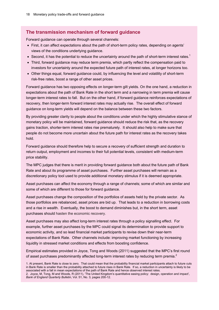## **The transmission mechanism of forward guidance**

Forward guidance can operate through several channels:

- First, it can affect expectations about the path of short-term policy rates, depending on agents' views of the conditions underlying guidance.
- $\bullet~$  Second, it has the potential to reduce the uncertainty around the path of short-term interest rates.<sup>1</sup>
- Third, forward guidance may reduce term premia, which partly reflect the compensation paid to investors for uncertainty around the expected future path of interest rates, at longer horizons too.
- Other things equal, forward guidance could, by influencing the level and volatility of short-term risk-free rates, boost a range of other asset prices.

Forward guidance has two opposing effects on longer-term gilt yields. On the one hand, a reduction in expectations about the path of Bank Rate in the short term and a narrowing in term premia will cause longer-term interest rates to fall. But on the other hand, if forward guidance reinforces expectations of recovery, then longer-term forward interest rates may actually rise. The overall effect of forward guidance on long-term yields will depend on the balance between these two factors.

By providing greater clarity to people about the conditions under which the highly stimulative stance of monetary policy will be maintained, forward guidance should reduce the risk that, as the recovery gains traction, shorter-term interest rates rise prematurely. It should also help to make sure that people do not become more uncertain about the future path for interest rates as the recovery takes hold.

Forward guidance should therefore help to secure a recovery of sufficient strength and duration to return output, employment and incomes to their full potential levels, consistent with medium-term price stability.

The MPC judges that there is merit in providing forward guidance both about the future path of Bank Rate and about its programme of asset purchases. Further asset purchases will remain as a discretionary policy tool used to provide additional monetary stimulus if it is deemed appropriate.

Asset purchases can affect the economy through a range of channels; some of which are similar and some of which are different to those for forward guidance.

Asset purchases change the composition of the portfolios of assets held by the private sector. As those portfolios are rebalanced, asset prices are bid up. That leads to a reduction in borrowing costs and a rise in wealth. Eventually, the boost to demand diminishes but, in the short term, asset purchases should hasten the economic recovery.

Asset purchases may also affect long-term interest rates through a policy signalling effect. For example, further asset purchases by the MPC could signal its determination to provide support to economic activity, and so lead financial market participants to revise down their near-term expectations of Bank Rate. Other channels include: improving market functioning by increasing liquidity in stressed market conditions and effects from boosting confidence.

Empirical estimates provided in Joyce, Tong and Woods (2011) suggested that the MPC's first round of asset purchases predominantly affected long-term interest rates by reducing term premia.<sup>2</sup>

<sup>1.</sup> At present, Bank Rate is close to zero. That could mean that the probability financial market participants attach to future cuts in Bank Rate is smaller than the probability attached to future rises in Bank Rate. If so, a reduction in uncertainty is likely to be associated with a fall in mean expectations of the path of Bank Rate and hence observed interest rates. 2. Joyce, M, Tong, M and Woods, R (2011), 'The United Kingdom's quantitative easing policy: design, operation and impact',

*Bank of England Quarterly Bulletin*, Vol. 51, No. 3, pages 200-12.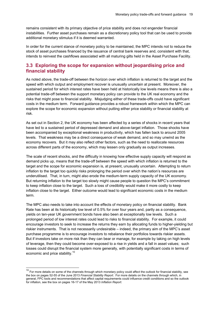remains consistent with its primary objective of price stability and does not engender financial instabilities. Further asset purchases remain as a discretionary policy tool that can be used to provide additional monetary stimulus if it is deemed warranted.

In order for the current stance of monetary policy to be maintained, the MPC intends not to reduce the stock of asset purchases financed by the issuance of central bank reserves and, consistent with that, intends to reinvest the cashflows associated with all maturing gilts held in the Asset Purchase Facility.

## **3.3 Exploring the scope for expansion without jeopardising price and financial stability**

As noted above, the trade-off between the horizon over which inflation is returned to the target and the speed with which output and employment recover is unusually uncertain at present. Moreover, the sustained period for which interest rates have been held at historically low levels means there is also a potential trade-off between the support monetary policy can provide to the UK real economy and the risks that might pose to financial stability. Misjudging either of these trade-offs could have significant costs in the medium term. Forward guidance provides a robust framework within which the MPC can explore the scope for economic expansion without putting either price stability or financial stability at risk.

As set out in Section 2, the UK economy has been affected by a series of shocks in recent years that have led to a sustained period of depressed demand and above-target inflation. Those shocks have been accompanied by exceptional weakness in productivity, which has fallen back to around 2005 levels. That weakness may be a direct consequence of weak demand, and so may unwind as the economy recovers. But it may also reflect other factors, such as the need to reallocate resources across different parts of the economy, which may lessen only gradually as output increases.

The scale of recent shocks, and the difficulty in knowing how effective supply capacity will respond as demand picks up, means that the trade-off between the speed with which inflation is returned to the target and the scope for economic expansion is, at present, unusually uncertain. Attempting to return inflation to the target too quickly risks prolonging the period over which the nation's resources are underutilised. That, in turn, might also erode the medium-term supply capacity of the UK economy. But returning inflation to the target too slowly might cause people to question the MPC's commitment to keep inflation close to the target. Such a loss of credibility would make it more costly to keep inflation close to the target. Either outcome would lead to significant economic costs in the medium term.

The MPC also needs to take into account the effects of monetary policy on financial stability. Bank Rate has been at its historically low level of 0.5% for over four years and, partly as a consequence, yields on ten-year UK government bonds have also been at exceptionally low levels. Such a prolonged period of low interest rates could lead to risks to financial stability. For example, it could encourage investors to seek to increase the returns they earn by allocating funds to higher-yielding but riskier instruments. That is not necessarily undesirable – indeed, the primary aim of the MPC's asset purchase programme is to encourage investors to rebalance their portfolios towards riskier assets. But if investors take on more risk than they can bear or manage, for example by taking on high levels of leverage, then they could become over-exposed to a rise in yields and a fall in asset values; such losses could disrupt the financial system more generally, with potentially significant costs in terms of economic and price stability.<sup>10</sup>

1

<sup>&</sup>lt;sup>10</sup> For more details on some of the channels through which monetary policy could affect the outlook for financial stability, see the box on pages 52-55 of the June 2013 *Financial Stability Report*. For more details on the channels through which, in general, FPC tools and recommendations that affect capital requirements could influence credit conditions and so the outlook for inflation, see the box on pages 16-17 of the May 2013 *Inflation Report*.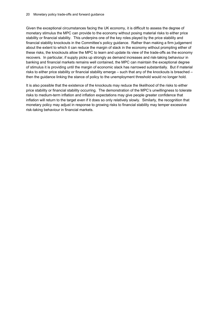Given the exceptional circumstances facing the UK economy, it is difficult to assess the degree of monetary stimulus the MPC can provide to the economy without posing material risks to either price stability or financial stability. This underpins one of the key roles played by the price stability and financial stability knockouts in the Committee's policy guidance. Rather than making a firm judgement about the extent to which it can reduce the margin of slack in the economy without prompting either of these risks, the knockouts allow the MPC to learn and update its view of the trade-offs as the economy recovers. In particular, if supply picks up strongly as demand increases and risk-taking behaviour in banking and financial markets remains well contained, the MPC can maintain the exceptional degree of stimulus it is providing until the margin of economic slack has narrowed substantially. But if material risks to either price stability or financial stability emerge – such that any of the knockouts is breached – then the guidance linking the stance of policy to the unemployment threshold would no longer hold.

It is also possible that the existence of the knockouts may reduce the likelihood of the risks to either price stability or financial stability occurring. The demonstration of the MPC's unwillingness to tolerate risks to medium-term inflation and inflation expectations may give people greater confidence that inflation will return to the target even if it does so only relatively slowly. Similarly, the recognition that monetary policy may adjust in response to growing risks to financial stability may temper excessive risk-taking behaviour in financial markets.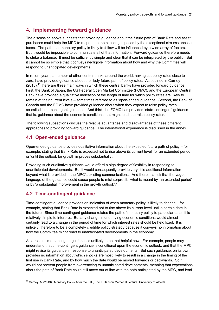# **4. Implementing forward guidance**

The discussion above suggests that providing guidance about the future path of Bank Rate and asset purchases could help the MPC to respond to the challenges posed by the exceptional circumstances it faces. The path that monetary policy is likely to follow will be influenced by a wide array of factors. But it would be impossible to communicate all of that information. Forward guidance therefore needs to strike a balance. It must be sufficiently simple and clear that it can be interpreted by the public. But it cannot be so simple that it conveys negligible information about how and why the Committee will respond to unanticipated developments.

In recent years, a number of other central banks around the world, having cut policy rates close to zero, have provided guidance about the likely future path of policy rates. As outlined in Carney  $(2013)$ ,<sup>11</sup> there are three main ways in which these central banks have provided forward guidance. First, the Bank of Japan, the US Federal Open Market Committee (FOMC), and the European Central Bank have provided a qualitative indication of the length of time for which policy rates are likely to remain at their current levels – sometimes referred to as 'open-ended' guidance. Second, the Bank of Canada and the FOMC have provided guidance about when they expect to raise policy rates – so-called 'time-contingent' guidance. And third, the FOMC has provided 'state-contingent' guidance – that is, guidance about the economic conditions that might lead it to raise policy rates.

The following subsections discuss the relative advantages and disadvantages of these different approaches to providing forward guidance. The international experience is discussed in the annex.

## **4.1 Open-ended guidance**

Open-ended guidance provides qualitative information about the expected future path of policy – for example, stating that Bank Rate is expected not to rise above its current level 'for an extended period' or 'until the outlook for growth improves substantially'.

Providing such qualitative guidance would afford a high degree of flexibility in responding to unanticipated developments. But it would consequently provide very little additional information beyond what is provided in the MPC's existing communications. And there is a risk that the vague language of the guidance could cause people to misinterpret it: what is meant by 'an extended period' or by 'a substantial improvement in the growth outlook'?

## **4.2 Time-contingent guidance**

Time-contingent guidance provides an indication of when monetary policy is likely to change – for example, stating that Bank Rate is expected not to rise above its current level until a certain date in the future. Since time-contingent guidance relates the path of monetary policy to particular dates it is relatively simple to interpret. But any change in underlying economic conditions would almost certainly lead to a change in the period of time for which interest rates should be held fixed. It is unlikely, therefore to be a completely credible policy strategy because it conveys no information about how the Committee might react to unanticipated developments in the economy.

As a result, time-contingent guidance is unlikely to be that helpful now. For example, people may understand that time-contingent guidance is conditional upon the economic outlook, and that the MPC might revise its guidance in response to unanticipated developments. But such guidance, on its own, provides no information about which shocks are most likely to result in a change in the timing of the first rise in Bank Rate, and by how much the date would be moved forwards or backwards. So it would not prevent people from overreacting to unanticipated developments, meaning that expectations about the path of Bank Rate could still move out of line with the path anticipated by the MPC, and lead

<sup>1</sup> <sup>11</sup> Carney, M (2013), 'Monetary Policy After the Fall', Eric J. Hanson Memorial Lecture, University of Alberta.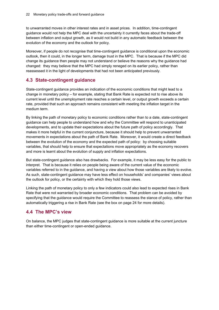to unwarranted moves in other interest rates and in asset prices. In addition, time-contingent guidance would not help the MPC deal with the uncertainty it currently faces about the trade-off between inflation and output growth, as it would not build in any automatic feedback between the evolution of the economy and the outlook for policy.

Moreover, if people do not recognise that time-contingent guidance is conditional upon the economic outlook, then it could, in the longer term, damage trust in the MPC. That is because if the MPC did change its guidance then people may not understand or believe the reasons why the guidance had changed: they may believe that the MPC had simply reneged on its earlier policy, rather than reassessed it in the light of developments that had not been anticipated previously.

## **4.3 State-contingent guidance**

State-contingent guidance provides an indication of the economic conditions that might lead to a change in monetary policy – for example, stating that Bank Rate is expected not to rise above its current level until the unemployment rate reaches a certain level, or output growth exceeds a certain rate, provided that such an approach remains consistent with meeting the inflation target in the medium term.

By linking the path of monetary policy to economic conditions rather than to a date, state-contingent guidance can help people to understand how and why the Committee will respond to unanticipated developments, and to update their expectations about the future path of policy accordingly. That makes it more helpful in the current conjuncture, because it should help to prevent unwarranted movements in expectations about the path of Bank Rate. Moreover, it would create a direct feedback between the evolution of the economy and the expected path of policy: by choosing suitable variables, that should help to ensure that expectations move appropriately as the economy recovers and more is learnt about the evolution of supply and inflation expectations.

But state-contingent guidance also has drawbacks. For example, it may be less easy for the public to interpret. That is because it relies on people being aware of the current value of the economic variables referred to in the guidance, and having a view about how those variables are likely to evolve. As such, state-contingent guidance may have less effect on households' and companies' views about the outlook for policy, or the certainty with which they hold those views.

Linking the path of monetary policy to only a few indicators could also lead to expected rises in Bank Rate that were not warranted by broader economic conditions. That problem can be avoided by specifying that the guidance would require the Committee to reassess the stance of policy, rather than automatically triggering a rise in Bank Rate (see the box on page 24 for more details).

## **4.4 The MPC's view**

On balance, the MPC judges that state-contingent guidance is more suitable at the current juncture than either time-contingent or open-ended guidance.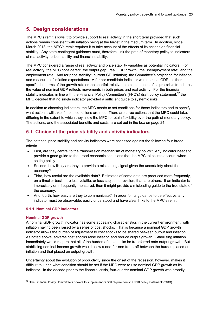## **5. Design considerations**

The MPC's remit allows it to provide support to real activity in the short term provided that such actions remain consistent with inflation being at the target in the medium term. In addition, since March 2013, the MPC's remit requires it to take account of the effects of its actions on financial stability. Any state-contingent guidance must, therefore, link the path of monetary policy to indicators of real activity, price stability and financial stability.

The MPC considered a range of real activity and price stability variables as potential indicators. For real activity, the MPC considered: the output gap; real GDP growth; the unemployment rate; and the employment rate. And for price stability: current CPI inflation; the Committee's projection for inflation; and measures of inflation expectations. A further candidate indicator was nominal GDP – either specified in terms of the growth rate or the shortfall relative to a continuation of its pre-crisis trend – as the value of nominal GDP reflects movements in both prices and real activity. For the financial stability indicator, in line with the Financial Policy Committee's (FPC's) draft policy statement,<sup>12</sup> the MPC decided that no single indicator provided a sufficient guide to systemic risks.

In addition to choosing indicators, the MPC needs to set conditions for those indicators and to specify what action it will take if those conditions are met. There are three actions that the MPC could take, differing in the extent to which they allow the MPC to retain flexibility over the path of monetary policy. The actions, and the associated benefits and costs, are set out in the box on page 24.

## **5.1 Choice of the price stability and activity indicators**

The potential price stability and activity indicators were assessed against the following four broad criteria.

- First, are they central to the transmission mechanism of monetary policy? Any indicator needs to provide a good guide to the broad economic conditions that the MPC takes into account when setting policy.
- Second, how likely are they to provide a misleading signal given the uncertainty about the economy?
- Third, how useful are the available data? Estimates of some data are produced more frequently, on a timelier basis, are less volatile, or less subject to revision, than are others. If an indicator is imprecisely or infrequently measured, then it might provide a misleading guide to the true state of the economy.
- And fourth, how easy are they to communicate? In order for its guidance to be effective, any indicator must be observable, easily understood and have clear links to the MPC's remit.

#### **5.1.1 Nominal GDP indicators**

#### **Nominal GDP growth**

A nominal GDP growth indicator has some appealing characteristics in the current environment, with inflation having been raised by a series of cost shocks. That is because a nominal GDP growth indicator allows the burden of adjustment to cost shocks to be shared between output and inflation. As noted above, adverse cost shocks raise inflation and reduce output growth. Stabilising inflation immediately would require that all of the burden of the shocks be transferred onto output growth. But stabilising nominal income growth would allow a one-for-one trade-off between the burden placed on inflation and that placed on output growth.

Uncertainty about the evolution of productivity since the onset of the recession, however, makes it difficult to judge what condition should be set if the MPC were to use nominal GDP growth as its indicator. In the decade prior to the financial crisis, four-quarter nominal GDP growth was broadly

<sup>1</sup> <sup>12</sup> 'The Financial Policy Committee's powers to supplement capital requirements: a draft policy statement' (2013).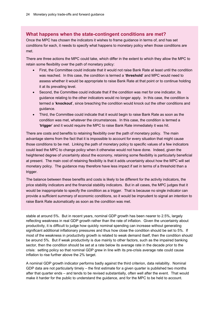## **What happens when the state-contingent conditions are met?**

Once the MPC has chosen the indicators it wishes to frame guidance in terms of, and has set conditions for each, it needs to specify what happens to monetary policy when those conditions are met.

There are three actions the MPC could take, which differ in the extent to which they allow the MPC to retain some flexibility over the path of monetary policy:

- First, the Committee could indicate that it would not raise Bank Rate at least until the condition was reached. In this case, the condition is termed a '**threshold**' and MPC would need to assess whether it would be appropriate to raise Bank Rate at that point or to continue holding it at its prevailing level.
- Second, the Committee could indicate that if the condition was met for one indicator, its guidance relating to the other indicators would no longer apply. In this case, the condition is termed a '**knockout**', since breaching the condition would knock out the other conditions and guidance.
- Third, the Committee could indicate that it would begin to raise Bank Rate as soon as the condition was met, whatever the circumstances. In this case, the condition is termed a '**trigger**' and it would require the MPC to raise Bank Rate immediately it was hit.

There are costs and benefits to retaining flexibility over the path of monetary policy. The main advantage stems from the fact that it is impossible to account for every situation that might cause those conditions to be met. Linking the path of monetary policy to specific values of a few indicators could lead the MPC to change policy when it otherwise would not have done. Indeed, given the heightened degree of uncertainty about the economy, retaining some flexibility is particularly beneficial at present. The main cost of retaining flexibility is that it adds uncertainty about how the MPC will set monetary policy. The guidance may therefore have less impact if set in terms of a threshold than a trigger.

The balance between these benefits and costs is likely to be different for the activity indicators, the price stability indicators and the financial stability indicators. But in all cases, the MPC judges that it would be inappropriate to specify the condition as a trigger. That is because no single indicator can provide a sufficient summary of economic conditions, so it would be imprudent to signal an intention to raise Bank Rate automatically as soon as the condition was met.

stable at around 5%. But in recent years, nominal GDP growth has been nearer to 2.5%, largely reflecting weakness in real GDP growth rather than the rate of inflation. Given the uncertainty about productivity, it is difficult to judge how quickly nominal spending can increase without generating significant additional inflationary pressures and thus how close the condition should be set to 5%. If most of the weakness in productivity growth is related to weak demand itself, then the condition should be around 5%. But if weak productivity is due mainly to other factors, such as the impaired banking sector, then the condition should be set at a rate below its average rate in the decade prior to the crisis: setting policy so that nominal GDP grew in line with its pre-crisis average rate could cause inflation to rise further above the 2% target.

A nominal GDP growth indicator performs badly against the third criterion, data reliability. Nominal GDP data are not particularly timely – the first estimate for a given quarter is published two months after that quarter ends – and tends to be revised substantially, often well after the event. That would make it harder for the public to understand the guidance, and for the MPC to be held to account.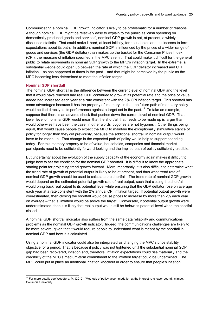Communicating a nominal GDP growth indicator is likely to be problematic for a number of reasons. Although nominal GDP might be relatively easy to explain to the public as 'cash spending on domestically produced goods and services', nominal GDP growth is not, at present, a widely discussed statistic. That could make it hard, at least initially, for households and businesses to form expectations about its path. In addition, nominal GDP is influenced by the prices of a wider range of goods and services (the GDP deflator) than makes up the basket for the Consumer Prices Index (CPI), the measure of inflation specified in the MPC's remit. That could make it difficult for the general public to relate movements in nominal GDP growth to the MPC's inflation target. In the extreme, a substantial wedge could open up between the rate at which the GDP deflator increased and CPI inflation – as has happened at times in the past – and that might be perceived by the public as the MPC becoming less determined to meet the inflation target.

#### **Nominal GDP shortfall**

1

The nominal GDP shortfall is the difference between the current level of nominal GDP and the level that it would have reached had real GDP continued to grow at its potential rate and the price of value added had increased each year at a rate consistent with the 2% CPI inflation target. This shortfall has some advantages because it has the property of 'memory', in that the future path of monetary policy would be tied directly to its performance against a target set in the past.<sup>13</sup> To take an example, suppose that there is an adverse shock that pushes down the current level of nominal GDP. That lower level of nominal GDP would mean that the shortfall that needs to be made up is larger than would otherwise have been the case; in other words 'bygones are not bygones'. Other things being equal, that would cause people to expect the MPC to maintain the exceptionally stimulative stance of policy for longer than they did previously, because the additional shortfall in nominal output would have to be made up. That change in the expected path of policy would help to support spending today. For this memory property to be of value, households, companies and financial market participants need to be sufficiently forward-looking and the implied path of policy sufficiently credible.

But uncertainty about the evolution of the supply capacity of the economy again makes it difficult to judge how to set the condition for the nominal GDP shortfall. It is difficult to know the appropriate starting point for projecting trend growth forward. More importantly, it is also difficult to determine what the trend rate of growth of potential output is likely to be at present, and thus what trend rate of nominal GDP growth should be used to calculate the shortfall. The trend rate of nominal GDP growth would depend on the estimated potential growth rate of real output, such that closing the shortfall would bring back real output to its potential level while ensuring that the GDP deflator rose on average each year at a rate consistent with the 2% annual CPI inflation target. If potential output growth were overestimated, then closing the shortfall would cause prices to increase by more than 2% each year on average – that is, inflation would be above the target. Conversely, if potential output growth were underestimated, then it is likely that real output would still be below its potential level when the shortfall closed.

A nominal GDP shortfall indicator also suffers from the same data reliability and communications problems as the nominal GDP growth indicator. Indeed, the communications challenges are likely to be more severe, given that it would require people to understand what is meant by the shortfall in nominal GDP and how it is calculated.

Using a nominal GDP indicator could also be interpreted as changing the MPC's price stability objective for a period. That is because if policy was not tightened until the substantial nominal GDP gap had been recovered, inflation and, therefore, inflation expectations could rise materially and the credibility of the MPC's medium-term commitment to the inflation target could be undermined. The MPC could put in place an additional inflation knockout in order to ensure that people's inflation

 $13$  For more details see Woodford, M. (2012), 'Methods of policy accommodation at the interest-rate lower bound', mimeo, Columbia University.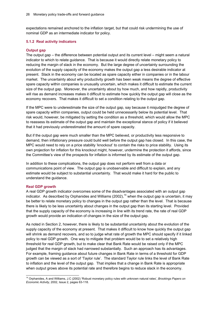expectations remained anchored to the inflation target, but that could risk undermining the use of nominal GDP as an intermediate indicator for policy.

#### **5.1.2 Real activity indicators**

#### **Output gap**

The output gap – the difference between potential output and its current level – might seem a natural indicator to which to relate guidance. That is because it would directly relate monetary policy to reducing the margin of slack in the economy. But the large degree of uncertainty surrounding the evolution of the supply capacity of the economy makes the output gap a less desirable indicator at present. Slack in the economy can be located as spare capacity either in companies or in the labour market. The uncertainty about why productivity growth has been weak means the degree of effective spare capacity within companies is unusually uncertain, which makes it difficult to estimate the current size of the output gap. Moreover, the uncertainty about by how much, and how rapidly, productivity will rise as demand increases makes it difficult to estimate how quickly the output gap will close as the economy recovers. That makes it difficult to set a condition relating to the output gap.

If the MPC were to underestimate the size of the output gap, say because it misjudged the degree of spare capacity within companies, output could be held unnecessarily below its potential level. That risk would, however, be mitigated by setting the condition as a threshold, which would allow the MPC to reassess its estimate of the output gap and maintain the exceptional stance of policy if it believed that it had previously underestimated the amount of spare capacity.

But if the output gap were much smaller than the MPC believed, or productivity less responsive to demand, then inflationary pressure could build well before the output gap has closed. In this case, the MPC would need to rely on a price stability 'knockout' to contain the risks to price stability. Using its own projection for inflation for this knockout might, however, undermine the protection it affords, since the Committee's view of the prospects for inflation is informed by its estimate of the output gap.

In addition to these complications, the output gap does not perform well from a data or communications point of view. The output gap is unobservable and difficult to explain, and any estimate would be subject to substantial uncertainty. That would make it hard for the public to understand the guidance.

#### **Real GDP growth**

A real GDP growth indicator overcomes some of the disadvantages associated with an output gap indicator. As described by Orphanides and Williams (2002),<sup>14</sup> when the output gap is uncertain, it may be better to relate monetary policy to changes in the output gap rather than the level. That is because there is likely to be less uncertainty about changes in the output gap than its starting level. Provided that the supply capacity of the economy is increasing in line with its trend rate, the rate of real GDP growth would provide an indication of changes in the size of the output gap.

As noted in Section 2, however, there is likely to be substantial uncertainty about the evolution of the supply capacity of the economy at present. That makes it difficult to know how quickly the output gap will shrink as demand recovers, and so to judge what rate of growth the MPC should specify if it linked policy to real GDP growth. One way to mitigate that problem would be to set a relatively high threshold for real GDP growth, but to make clear that Bank Rate would be raised only if the MPC judged that the margin of slack had narrowed substantially. Such an approach has its advantages. For example, framing guidance about future changes in Bank Rate in terms of a threshold for GDP growth can be viewed as a sort of 'Taylor rule'. The standard Taylor rule links the level of Bank Rate to inflation and the level of the output gap. That implies that a change in Bank Rate is appropriate when output grows above its potential rate and therefore begins to reduce slack in the economy.

<sup>1</sup> 14 Orphanides, A and Williams, J.C (2002) 'Robust monetary policy rules with unknown natural rates', *Brookings Papers on Economic Activity*, 2002, Issue 2, pages 63-118.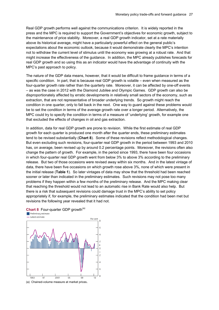Real GDP growth performs well against the communications criterion. It is widely reported in the press and the MPC is required to support the Government's objectives for economic growth, subject to the maintenance of price stability. Moreover, a real GDP growth indicator, set at a rate materially above its historical average, might have a particularly powerful effect on the general public's expectations about the economic outlook, because it would demonstrate clearly the MPC's intention not to withdraw the current level of stimulus until the economy was growing at a robust rate. And that might increase the effectiveness of the guidance. In addition, the MPC already publishes forecasts for real GDP growth and so using this as an indicator would have the advantage of continuity with the MPC's past approach to policy.

The nature of the GDP data means, however, that it would be difficult to frame guidance in terms of a specific condition. In part, that is because real GDP growth is volatile – even when measured as the four-quarter growth rate rather than the quarterly rate. Moreover, it can be affected by one-off events – as was the case in 2012 with the Diamond Jubilee and Olympic Games. GDP growth can also be disproportionately affected by erratic developments in relatively small sectors of the economy, such as extraction, that are not representative of broader underlying trends. So growth might reach the condition in one quarter, only to fall back in the next. One way to guard against these problems would be to set the condition in terms of the average growth rate over a longer period. Alternatively, the MPC could try to specify the condition in terms of a measure of 'underlying' growth, for example one that excluded the effects of changes in oil and gas extraction.

In addition, data for real GDP growth are prone to revision. While the first estimate of real GDP growth for each quarter is produced one month after the quarter ends, these preliminary estimates tend to be revised substantially (**Chart 8**). Some of these revisions reflect methodological changes. But even excluding such revisions, four-quarter real GDP growth in the period between 1993 and 2010 has, on average, been revised up by around 0.2 percentage points. Moreover, the revisions often also change the pattern of growth. For example, in the period since 1993, there have been four occasions in which four-quarter real GDP growth went from below 3% to above 3% according to the preliminary release. But two of those occasions were revised away within six months. And in the latest vintage of data, there have been five occasions on which growth rose above 3%, none of which were present in the initial release (**Table 1**). So later vintages of data may show that the threshold had been reached sooner or later than indicated in the preliminary estimates. Such revisions may not pose too many problems if they happen within a few months of the preliminary release. And the MPC making clear that reaching the threshold would not lead to an automatic rise in Bank Rate would also help. But there is a risk that subsequent revisions could damage trust in the MPC's ability to set policy appropriately if, for example, the preliminary estimates indicated that the condition had been met but revisions the following year revealed that it had not.

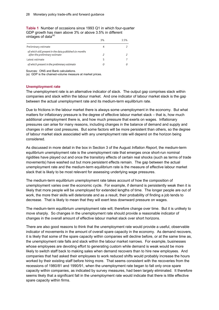**Table 1** Number of occasions since 1993 Q1 in which four-quarter GDP growth has risen above 3% or above 3.5% in different vintages of data $(a)$ 

|                                                                                           | 3% | 3.5% |
|-------------------------------------------------------------------------------------------|----|------|
| Preliminary estimate                                                                      |    |      |
| of which still present in the data published six months<br>after the preliminary estimate |    |      |
| Latest estimate                                                                           |    |      |
| of which present in the preliminary estimate                                              |    |      |

Sources: ONS and Bank calculations.

(a) GDP is the chained-volume measure at market prices.

#### **Unemployment rate**

The unemployment rate is an alternative indicator of slack. The output gap comprises slack within companies and slack within the labour market. And one indicator of labour market slack is the gap between the actual unemployment rate and its medium-term equilibrium rate.

Due to frictions in the labour market there is always some unemployment in the economy. But what matters for inflationary pressure is the degree of effective labour market slack – that is, how much additional unemployment there is, and how much pressure that exerts on wages. Inflationary pressures can arise for many reasons, including changes in the balance of demand and supply and changes in other cost pressures. But some factors will be more persistent than others, so the degree of labour market slack associated with any unemployment rate will depend on the horizon being considered.

As discussed in more detail in the box in Section 3 of the August *Inflation Report*, the medium-term equilibrium unemployment rate is the unemployment rate that emerges once short-run nominal rigidities have played out and once the transitory effects of certain real shocks (such as terms of trade movements) have washed out but more persistent effects remain. The gap between the actual unemployment rate and the medium-term equilibrium rate is the measure of effective labour market slack that is likely to be most relevant for assessing underlying wage pressures.

The medium-term equilibrium unemployment rate takes account of how the composition of unemployment varies over the economic cycle. For example, if demand is persistently weak then it is likely that more people will be unemployed for extended lengths of time. The longer people are out of work, the more their skills will deteriorate and as a result, their probability of finding a job tends to decrease. That is likely to mean that they will exert less downward pressure on wages.

The medium-term equilibrium unemployment rate will, therefore change over time. But it is unlikely to move sharply. So changes in the unemployment rate should provide a reasonable indicator of changes in the overall amount of effective labour market slack over short horizons.

There are also good reasons to think that the unemployment rate would provide a useful, observable indicator of movements in the amount of overall spare capacity in the economy. As demand recovers, it is likely that some of the spare capacity within companies will decline before, or at the same time as, the unemployment rate falls and slack within the labour market narrows. For example, businesses whose employees are devoting effort to generating custom while demand is weak would be more likely to switch staff back to making sales when demand recovers than to hire new employees. And companies that had asked their employees to work reduced shifts would probably increase the hours worked by their existing staff before hiring more. That seems consistent with the recoveries from the recessions of 1980/81 and 1990/91, when the unemployment rate began to fall only once spare capacity within companies, as indicated by survey measures, had been largely eliminated. It therefore seems likely that a significant fall in the unemployment rate would indicate that there is little effective spare capacity within firms.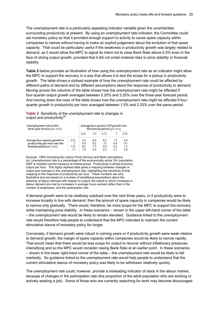The unemployment rate is a particularly appealing indicator variable given the uncertainties surrounding productivity at present. By using an unemployment rate indicator, the Committee could set monetary policy so that it provided enough support to activity to cause spare capacity within companies to narrow without having to make an explicit judgement about the evolution of that spare capacity. That could be particularly useful if the weakness in productivity growth was largely related to demand, as it would allow the MPC to signal its intent not to raise Bank Rate above 0.5% even in the face of strong output growth, provided that it did not entail material risks to price stability or financial stability.

**Table 2** below provides an illustration of how using the unemployment rate as an indicator might allow the MPC to support the recovery in a way that allows it to test the scope for a pickup in productivity growth. The table shows a stylised example of how the unemployment rate could be affected by different paths of demand and by different assumptions about the response of productivity to demand. Moving across the columns of the table shows how the unemployment rate might be affected if four-quarter output growth averaged between 2.25% and 3.25% over the three-year forecast period. And moving down the rows of the table shows how the unemployment rate might be affected if fourquarter growth in productivity per hour averaged between 1.5% and 2.25% over the same period.

**Table 2** Sensitivity of the unemployment rate to changes in output and productivity<sup>(a)</sup>

| Unemployment rate at the<br>three-year horizon (per cent)                                      |                          | Average four-quarter GDP growth over<br>the forecast period (per cent) |                          |                          |                        |                         |
|------------------------------------------------------------------------------------------------|--------------------------|------------------------------------------------------------------------|--------------------------|--------------------------|------------------------|-------------------------|
|                                                                                                |                          | 225                                                                    | 25                       | 275                      |                        | 325                     |
| Average four-quarter growth in<br>productivity per hour over the<br>forecast period (per cent) | 2.25<br>2<br>1.75<br>1.5 | 9.6<br>8.9<br>8.2<br>7.6                                               | 8.9<br>8.2<br>7.5<br>6.9 | 8.2<br>7.5<br>6.9<br>6.2 | 75<br>6.8<br>6.2<br>55 | 6.8<br>6.1<br>55<br>4.8 |

Sources: ONS (including the Labour Force Survey) and Bank calculations. (a) Unemployment rate is a percentage of the economically active 16+ population. GDP is chained-volume measure at market prices. Productivity is whole economy output per hour. This highly stylised table gives a mapping between changes in output and changes in the unemployment rate, highlighting the sensitivity of that mapping to the response of productivity per hour. These numbers are only illustrative and are based on a number of simplifying assumptions about the elasticity of labour demand with respect to output, the extent to which increases in labour demand are met by increases in average hours worked rather than in the number of employees, and the participation rate.

If demand growth were to be relatively subdued over the next three years, or if productivity were to increase broadly in line with demand, then the amount of spare capacity in companies would be likely to narrow only gradually. There would, therefore, be more scope for the MPC to support the recovery while maintaining price stability. In these scenarios – shown in the upper left-hand corner of the table – the unemployment rate would be likely to remain elevated. Guidance linked to the unemployment rate would therefore help people to understand that the MPC intended to maintain the current stimulative stance of monetary policy for longer.

Conversely, if demand growth were robust in coming years or if productivity growth were weak relative to demand growth, the margin of spare capacity within companies would be likely to narrow rapidly. That would mean that there would be less scope for output to recover without inflationary pressures intensifying and so the MPC would consider raising Bank Rate at an earlier point. In these scenarios – shown in the lower right-hand corner of the table – the unemployment rate would be likely to fall markedly. So guidance linked to the unemployment rate would help people to understand that the current stimulative stance of monetary policy was likely to be withdrawn relatively quickly.

The unemployment rate could, however, provide a misleading indicator of slack in the labour market, because of changes in the participation rate (the proportion of the adult population who are working or actively seeking a job). Some of those who are currently searching for work may become discouraged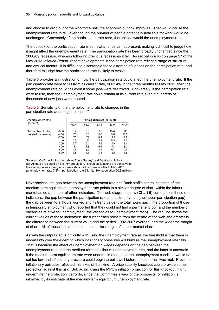and choose to drop out of the workforce until the economic outlook improves. That would cause the unemployment rate to fall, even though the number of people potentially available for work would be unchanged. Conversely, if the participation rate rose, then so too would the unemployment rate.

The outlook for the participation rate is somewhat uncertain at present, making it difficult to judge how it might affect the unemployment rate. The participation rate has been broadly unchanged since the 2008/09 recession, whereas following previous recessions it fell. As set out in a box on page 27 of the May 2013 *Inflation Report*, recent developments in the participation rate reflect a range of structural and cyclical factors. It is difficult to disentangle these different influences on the participation rate, and therefore to judge how the participation rate is likely to evolve.

**Table 3** provides an illustration of how the participation rate could affect the unemployment rate. If the participation rate were to fall from its current rate, of 63.4% in the three months to May 2013, then the unemployment rate could fall even if some jobs were destroyed. Conversely, if the participation rate were to rise, then the unemployment rate could remain at its current rate even if hundreds of thousands of new jobs were created.

**Table 3** Sensitivity of the unemployment rate to changes in the participation rate and net job creation<sup>(a)</sup>

| Unemployment rate   |          | Participation rate (per cent) |      |      |      |      |
|---------------------|----------|-------------------------------|------|------|------|------|
| (per cent)          |          | 62.4                          | 62.9 | 63.4 | 63.9 | 64.4 |
| Net number of jobs  | -600     | 8.2                           | 8.9  | 9.7  | 10.4 | 11.1 |
| created (thousands) | $-400$   | 7.6                           | 8.3  | 9.0  | 9.8  | 10.5 |
|                     | $-200$   | 7.0                           | 7.7  | 8.4  | 9.1  | 9.8  |
|                     | $\Omega$ | 6.3                           | 7.1  | 7.8  | 8.5  | 9.2  |
|                     | 200      | 5.7                           | 6.4  | 7.2  | 7.9  | 8.6  |
|                     | 400      | 5.1                           | 5.8  | 6.6  | 7.3  | 8.0  |
|                     | 600      | 4.4                           | 5.2  | 5.9  | 6.7  | 7.4  |
|                     | 800      | 3.8                           | 4.6  | 5.3  | 6.1  | 6.8  |

Sources: ONS (including the Labour Force Survey) and Bank calculations. (a) All data are based on the 16+ population. These calculations are sensitive to the starting values used, which were data for the three months to May 2013 (unemployment rate 7.8%; participation rate 63.4%; 16+ population 50.8 million).

Nevertheless, the gap between the unemployment rate and Bank staff's central estimate of the medium-term equilibrium unemployment rate points to a similar degree of slack within the labour market as do a number of other indicators. The web diagram below (**Chart 9**) summarises these other indicators: the gap between the participation rate and its trend value (the labour participation gap); the gap between total hours worked and its trend value (the total hours gap); the proportion of those in temporary employment who reported that they could not find a permanent job; and the number of vacancies relative to unemployment (the vacancies to unemployment ratio). The red line shows the current values of these indicators: the further each point is from the centre of the web, the greater is the difference between the current value and the series' 1992-2007 average, and the wider the margin of slack. All of these indicators point to a similar margin of labour market slack.

As with the output gap, a difficulty with using the unemployment rate as the threshold is that there is uncertainty over the extent to which inflationary pressures will build as the unemployment rate falls. That is because the effect of unemployment on wages depends on the gap between the unemployment rate and the medium-term equilibrium unemployment rate, and the latter is uncertain. If the medium-term equilibrium rate were underestimated, then the unemployment condition would be set too low and inflationary pressure could begin to build well before the condition was met. Previous inflationary episodes reflected mistakes of that kind. A price stability knockout could provide some protection against this risk. But, again, using the MPC's inflation projection for this knockout might undermine the protection it affords, since the Committee's view of the prospects for inflation is informed by its estimate of the medium-term equilibrium unemployment rate.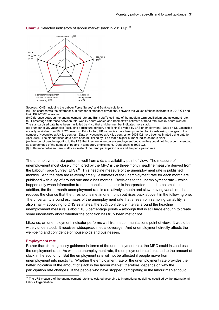

#### **Chart 9** Selected indicators of labour market slack in 2013 Q1<sup>(a)</sup>

Sources: ONS (including the Labour Force Survey) and Bank calculations.

(a) The chart shows the differences, in number of standard deviations, between the values of these indicators in 2013 Q1 and their 1992-2007 averages.

(b) Difference between the unemployment rate and Bank staff's estimate of the medium-term equilibrium unemployment rate. (c) Percentage difference between total weekly hours worked and Bank staff's estimate of trend total weekly hours worked. The standardised data have been multiplied by -1 so that a higher number indicates more slack.

(d) Number of UK vacancies (excluding agriculture, forestry and fishing) divided by LFS unemployment. Data on UK vacancies are only available from 2001 Q2 onwards. Prior to that, UK vacancies have been projected backwards using changes in the number of vacancies at UK job centres. Data on vacancies at UK job centres for 2001 Q2 have been estimated using data for April 2001. The standardised data have been multiplied by -1 so that a higher number indicates more slack. (e) Number of people reporting to the LFS that they are in temporary employment because they could not find a permanent job,

as a percentage of the number of people in temporary employment. Data begin in 1992 Q2.

(f) Difference between Bank staff's estimate of the trend participation rate and the participation rate.

The unemployment rate performs well from a data availability point of view. The measure of unemployment most closely monitored by the MPC is the three-month headline measure derived from the Labour Force Survey (LFS).<sup>15</sup> This headline measure of the unemployment rate is published monthly. And the data are relatively timely: estimates of the unemployment rate for each month are published with a lag of around one and a half months. Revisions to the unemployment rate – which happen only when information from the population census is incorporated – tend to be small. In addition, the three-month unemployment rate is a relatively smooth and slow-moving variable: that reduces the chance that the threshold is met in one month but rises back above it in the following one. The uncertainty around estimates of the unemployment rate that arises from sampling variability is also small – according to ONS estimates, the 95% confidence interval around the headline unemployment measure is about ±0.3 percentage points – although that is still large enough to create some uncertainty about whether the condition has truly been met or not.

Likewise, an unemployment indicator performs well from a communications point of view. It would be widely understood. It receives widespread media coverage. And unemployment directly affects the well-being and confidence of households and businesses.

#### **Employment rate**

1

Rather than framing policy guidance in terms of the unemployment rate, the MPC could instead use the employment rate. As with the unemployment rate, the employment rate is related to the amount of slack in the economy. But the employment rate will not be affected if people move from unemployment into inactivity. Whether the employment rate or the unemployment rate provides the better indication of the amount of slack in the labour market, therefore, depends on why the participation rate changes. If the people who have stopped participating in the labour market could

<sup>&</sup>lt;sup>15</sup> The LFS measure of the unemployment rate is calculated according to international guidelines specified by the International Labour Organisation.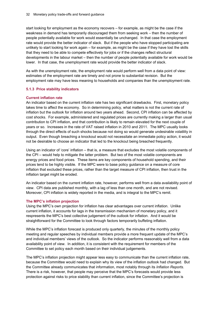start looking for employment as the economy recovers – for example, as might be the case if the weakness in demand has temporarily discouraged them from seeking work – then the number of people potentially available for work would essentially be unchanged. In that case the employment rate would provide the better indicator of slack. But if the people who have stopped participating are unlikely to start looking for work again – for example, as might be the case if they have lost the skills that they need to be able to compete effectively for jobs or if the changes reflect structural developments in the labour market – then the number of people potentially available for work would be lower. In that case, the unemployment rate would provide the better indicator of slack.

As with the unemployment rate, the employment rate would perform well from a data point of view: estimates of the employment rate are timely and not prone to substantial revision. But the employment rate may have less meaning to households and companies than the unemployment rate.

#### **5.1.3 Price stability indicators**

#### **Current inflation rate**

An indicator based on the current inflation rate has two significant drawbacks. First, monetary policy takes time to affect the economy. So in determining policy, what matters is not the current rate of inflation but the outlook for inflation around two years ahead. Second, CPI inflation can be affected by cost shocks. For example, administered and regulated prices are currently making a larger than usual contribution to CPI inflation, and that contribution is likely to remain elevated for the next couple of years or so. Increases in the rate of VAT raised inflation in 2010 and 2011. The MPC usually looks through the direct effects of such shocks because not doing so would generate undesirable volatility in output. Even though breaching a knockout would not necessitate an immediate policy action, it would not be desirable to choose an indicator that led to the knockout being breached frequently.

Using an indicator of 'core' inflation – that is, a measure that excludes the most volatile components of the CPI – would help to mitigate the latter problem. But two of the most volatile components are energy prices and food prices. These items are key components of household spending, and their prices tend to be highly visible. If the MPC were to base policy guidance on a measure of core inflation that excluded these prices, rather than the target measure of CPI inflation, then trust in the inflation target might be eroded.

An indicator based on the current inflation rate, however, performs well from a data availability point of view. CPI data are published monthly, with a lag of less than one month, and are not revised. Moreover, CPI inflation is widely reported in the media, and is integral to the MPC's remit.

#### **The MPC's inflation projection**

Using the MPC's own projection for inflation has clear advantages over current inflation. Unlike current inflation, it accounts for lags in the transmission mechanism of monetary policy, and it respresents the MPC's best collective judgement of the outlook for inflation. And it would be straightforward for the Committee to look through factors temporarily buffeting inflation.

While the MPC's inflation forecast is produced only quarterly, the minutes of the monthly policy meeting and regular speeches by individual members provide a more frequent update of the MPC's and individual members' views of the outlook. So the indicator performs reasonably well from a data availability point of view. In addition, it is consistent with the requirement for members of the Committee to set policy each month based on their individual judgements.

The MPC's inflation projection might appear less easy to communicate than the current inflation rate, because the Committee would need to explain why its view of the inflation outlook had changed. But the Committee already communicates that information, most notably through its *Inflation Reports*. There is a risk, however, that people may perceive that the MPC's forecasts would provide less protection against risks to price stability than current inflation, since the Committee's projection is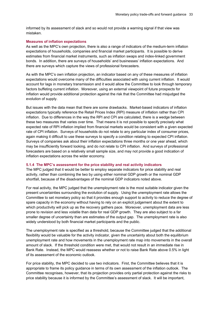informed by its assessment of slack and so would not provide a warning signal if that view was mistaken.

#### **Measures of inflation expectations**

As well as the MPC's own projection, there is also a range of indicators of the medium-term inflation expectations of households, companies and financial market participants. It is possible to derive estimates from financial market instruments, such as inflation swaps and index-linked government bonds. In addition, there are surveys of households' and businesses' inflation expectations. And there are surveys which capture the views of professional forecasters.

As with the MPC's own inflation projection, an indicator based on any of these measures of inflation expectations would overcome many of the difficulties associated with using current inflation. It would account for lags in monetary transmission and it would allow the Committee to look through temporary factors buffeting current inflation. Moreover, using an external viewpoint of future prospects for inflation would provide additional protection against the risk that the Committee had misjudged the evolution of supply.

But issues with the data mean that there are some drawbacks. Market-based indicators of inflation expectations typically reference the Retail Prices Index (RPI) measure of inflation rather than CPI inflation. Due to differences in the way the RPI and CPI are calculated, there is a wedge between these two measures that varies over time. That means it is not possible to specify precisely what expected rate of RPI inflation implied from financial markets would be consistent with a given expected rate of CPI inflation. Surveys of households do not relate to any particular index of consumer prices, again making it difficult to use these surveys to specify a condition relating to expected CPI inflation. Surveys of companies ask about their inflation expectations three months or one year ahead, which may be insufficiently forward looking, and do not relate to CPI inflation. And surveys of professional forecasters are based on a relatively small sample size, and may not provide a good indication of inflation expectations across the wider economy.

#### **5.1.4 The MPC's assessment for the price stability and real activity indicators**

The MPC judged that it would be better to employ separate indicators for price stability and real activity, rather than combining the two by using either nominal GDP growth or the nominal GDP shortfall, because of the disadvantages of the nominal GDP indicators noted above.

For real activity, the MPC judged that the unemployment rate is the most suitable indicator given the present uncertainties surrounding the evolution of supply. Using the unemployment rate allows the Committee to set monetary policy so that it provides enough support to activity to reduce the degree of spare capacity in the economy without having to rely on an explicit judgement about the extent to which productivity will pick up as the recovery gathers pace. Moreover, unemployment data are less prone to revision and less volatile than data for real GDP growth. They are also subject to a far smaller degree of uncertainty than are estimates of the output gap. The unemployment rate is also widely understood by both financial market participants and the public.

The unemployment rate is specified as a threshold, because the Committee judged that the additional flexibility would be valuable for the activity indicator, given the uncertainty about both the equilibrium unemployment rate and how movements in the unemployment rate map into movements in the overall amount of slack. If the threshold condition were met, that would not result in an immediate rise in Bank Rate. Instead, the MPC would reassess whether or not to raise Bank Rate above 0.5% in light of its assessment of the economic outlook.

For price stability, the MPC decided to use two indicators. First, the Committee believes that it is appropriate to frame its policy guidance in terms of its own assessment of the inflation outlook. The Committee recognises, however, that its projection provides only partial protection against the risks to price stability because it is informed by the Committee's assessment of slack. It will be important,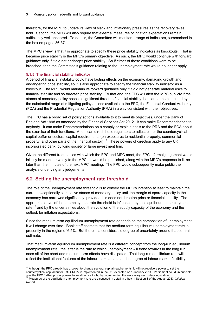therefore, for the MPC to update its view of slack and inflationary pressures as the recovery takes hold. Second, the MPC will also require that external measures of inflation expectations remain sufficiently well anchored. To do this, the Committee will monitor a range of indicators, summarised in the box on pages 36-37.

The MPC's view is that it is appropriate to specify these price stability indicators as knockouts. That is because price stability is the MPC's primary objective. As such, the MPC would continue with forward guidance only if it did not endanger price stability. So if either of these conditions were to be breached, then the Committee's guidance relating to the unemployment rate would no longer apply.

#### **5.1.5 The financial stability indicator**

A period of financial instability could have lasting effects on the economy, damaging growth and endangering price stability, so it is also appropriate to specify the financial stability indicator as a knockout. The MPC would maintain its forward guidance only if it did not generate material risks to financial stability and so threaten price stability. To that end, the FPC will alert the MPC publicly if the stance of monetary policy poses a significant threat to financial stability that cannot be contained by the substantial range of mitigating policy actions available to the FPC, the Financial Conduct Authority (FCA) and the Prudential Regulation Authority (PRA) in a way consistent with their objectives.

The FPC has a broad set of policy actions available to it to meet its objectives, under the Bank of England Act 1998 as amended by the Financial Services Act 2012. It can make Recommendations to anybody. It can make Recommendations on a comply or explain basis to the PRA and the FCA about the exercise of their functions. And it can direct those regulators to adjust either the countercyclical capital buffer or sectoral capital requirements (on exposures to residential property, commercial property, and other parts of the financial sector).<sup>16</sup> These powers of direction apply to any UK incorporated bank, building society or large investment firm.

Given the different frequencies with which the FPC and MPC meet, the FPC's formal judgement would initially be made privately to the MPC. It would be published, along with the MPC's response to it, no later than the minutes of the next MPC meeting. The FPC would subsequently make public the analysis underlying any judgements.

## **5.2 Setting the unemployment rate threshold**

-

The role of the unemployment rate threshold is to convey the MPC's intention at least to maintain the current exceptionally stimulative stance of monetary policy until the margin of spare capacity in the economy has narrowed significantly, provided this does not threaten price or financial stability. The appropriate level of the unemployment rate threshold is influenced by the equilibrium unemployment rate.<sup>17</sup> and by the uncertainties about the evolution of the supply capacity of the economy and the outlook for inflation expectations.

Since the medium-term equilibrium unemployment rate depends on the composition of unemployment, it will change over time. Bank staff estimate that the medium-term equilibrium unemployment rate is presently in the region of 6.5%. But there is a considerable degree of uncertainty around that central estimate.

That medium-term equilibrium unemployment rate is a different concept from the long-run equilibrium unemployment rate: the latter is the rate to which unemployment will trend towards in the long run once all of the short and medium-term effects have dissipated. That long-run equilibrium rate will reflect the institutional features of the labour market, such as the degree of labour market flexibility,

 $16$  Although the FPC already has a power to change sectoral capital requirements, it will not receive a power to set the countercyclical capital buffer until CRDIV is implemented in the UK, expected on 1 January 2014. Parliament could, in principle, give the FPC further power powers to set directive tools, by implementing the necessary secondary legislation.<br><sup>17</sup> Measures of the equilibrium unemployment rate are discussed in detail in a box in Section 3 of the August

*Report*.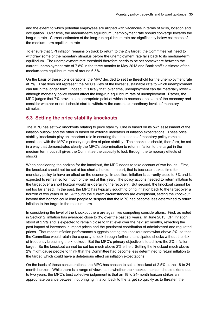and the extent to which potential employees are aligned with vacancies in terms of skills, location and occupation. Over time, the medium-term equilibrium unemployment rate should converge towards the long-run rate. Current estimates of the long-run equilibrium rate are significantly below estimates of the medium-term equilibrium rate.

To ensure that CPI inflation remains on track to return to the 2% target, the Committee will need to withdraw some of the monetary stimulus before the unemployment rate falls back to its medium-term equilibrium. The unemployment rate threshold therefore needs to be set somewhere between the current unemployment rate of 7.8% in the three months to May 2013 and Bank staff's estimate of the medium-term equilibrium rate of around 6.5%.

On the basis of these considerations, the MPC decided to set the threshold for the unemployment rate at 7%. That does not represent the MPC's view of the lowest sustainable rate to which unemployment can fall in the longer term. Indeed, it is likely that, over time, unemployment can fall materially lower – although monetary policy cannot affect the long-run equilibrium rate of unemployment. Rather, the MPC judges that 7% provides an appropriate point at which to reassess the state of the economy and consider whether or not it should start to withdraw the current extraordinary levels of monetary stimulus.

## **5.3 Setting the price stability knockouts**

The MPC has set two knockouts relating to price stability. One is based on its own assessment of the inflation outlook and the other is based on external indicators of inflation expectations. These price stability knockouts play an important role in ensuring that the stance of monetary policy remains consistent with the MPC's primary objective of price stability. The knockouts should, therefore, be set in a way that demonstrates clearly the MPC's determination to return inflation to the target in the medium term, but still gives the Committee the capacity to look through the temporary effects of shocks.

When considering the horizon for the knockout, the MPC needs to take account of two issues. First, the knockout should not be set at too short a horizon. In part, that is because it takes time for monetary policy to have an effect on the economy. In addition, inflation is currently close to 3% and is expected to remain so for much of the rest of this year. The policy actions needed to return inflation to the target over a short horizon would risk derailing the recovery. But second, the knockout cannot be set too far ahead. In the past, the MPC has typically sought to bring inflation back to the target over a horizon of two years or so. Although the current circumstances are exceptional, setting the knockout beyond that horizon could lead people to suspect that the MPC had become less determined to return inflation to the target in the medium term.

In considering the level of the knockout there are again two competing considerations. First, as noted in Section 2, inflation has averaged close to 3% over the past six years. In June 2013, CPI Inflation stood at 2.9% and is expected to remain close to that level over the next six months, reflecting the past impact of increases in import prices and the persistent contribution of administered and regulated prices. That recent inflation performance suggests setting the knockout somewhat above 2%, so that the Committee would retain the capacity to look through further unanticipated shocks without the risk of frequently breaching the knockout. But the MPC's primary objective is to achieve the 2% inflation target. So the knockout cannot be set too much above 2% either. Setting the knockout much above 2% might cause people to think that the Committee had become less determined to return inflation to the target, which could have a deleterious effect on inflation expectations.

On the basis of these considerations, the MPC has chosen to set its knockout at 2.5% at the 18 to 24 month horizon. While there is a range of views as to whether the knockout horizon should extend out to two years, the MPC's best collective judgement is that an 18 to 24-month horizon strikes an appropriate balance between not bringing inflation back to the target so quickly as to threaten the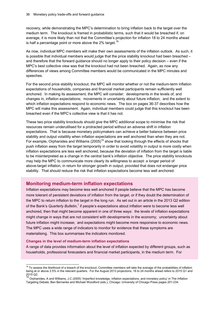recovery, while demonstrating the MPC's determination to bring inflation back to the target over the medium term. The knockout is framed in probabilistic terms, such that it would be breached if, on average, it is more likely than not that the Committee's projection for inflation 18 to 24 months ahead is half a percentage point or more above the  $2\%$  target.<sup>18</sup>

As now, individual MPC members will make their own assessments of the inflation outlook. As such, it is possible that individual members would judge that the price stability knockout had been breached – and therefore that the forward guidance should no longer apply to their policy decision – even if the MPC's best collective view was that the knockout had not been breached. Again, as now any differences of views among Committee members would be communicated in the MPC minutes and speeches.

For the second price stability knockout, the MPC will monitor whether or not the medium-term inflation expectations of households, companies and financial market participants remain sufficiently well anchored. In making its assessment, the MPC will consider: developments in the levels of, and changes in, inflation expectations; movements in uncertainty about future inflation; and the extent to which inflation expectations respond to economic news. The box on pages 36-37 describes how the MPC will make this assessment. Again, individual members could judge that this knockout has been breached even if the MPC's collective view is that it has not.

These two price stability knockouts should give the MPC additional scope to minimise the risk that resources remain underutilised for a protracted period without an adverse shift in inflation expectations. That is because monetary policymakers can achieve a better balance between price stability and output volatility when inflation expectations are well anchored than when they are not. For example, Orphanides and Williams (2005)<sup>19</sup> show that looking through the effects of shocks that push inflation away from the target temporarily in order to avoid volatility in output is more costly when inflation expectations are less well anchored, because the deviation of inflation from the target is liable to be misinterpreted as a change in the central bank's inflation objective. The price stability knockouts may help the MPC to communicate more clearly its willingness to accept: a longer period of above-target inflation, in return for stronger growth in output, provided that does not endanger price stability. That should reduce the risk that inflation expectations become less well anchored.

### **Monitoring medium-term inflation expectations**

Inflation expectations may become less well anchored if people believe that the MPC has become more tolerant of persistent deviations of inflation from the target, or if they doubt the determination of the MPC to return inflation to the target in the long run. As set out in an article in the 2013 Q2 edition of the Bank's Quarterly Bulletin,<sup>1</sup> if people's expectations about inflation were to become less well anchored, then that might become apparent in one of three ways: the levels of inflation expectations might change in ways that are not consistent with developments in the economy; uncertainty about future inflation might increase; and expectations might become more responsive to economic news. The MPC uses a wide range of indicators to monitor for evidence that these symptoms are materialising. This box summarises the indicators monitored.

#### **Changes in the level of medium-term inflation expectations**

-

A range of data provides information about the level of inflation expected by different groups, such as households, professional forecasters and financial market participants, in the medium term. For

<sup>&</sup>lt;sup>18</sup> To assess the likelihood of a breach of the knockout, Committee members will take the average of the probabilities of inflation being at or above 2.5% in the relevant quarters. For the August 2013 projections, 18 to 24 months ahead refers to 2015 Q1 and 2015 Q2.<br><sup>19</sup> Orphanides, A and Williams, J.C (2005) 'Imperfect knowledge, inflation expectations, and monetary policy' in The Inflation

Targeting Debate, Ben Bernanke and Michael Woodford (eds.), Chicago: University of Chicago Press pages 201-234.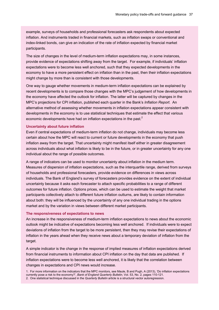example, surveys of households and professional forecasters ask respondents about expected inflation. And instruments traded in financial markets, such as inflation swaps or conventional and index-linked bonds, can give an indication of the rate of inflation expected by financial market participants.

The size of changes in the level of medium-term inflation expectations may, in some instances, provide evidence of expectations shifting away from the target. For example, if individuals' inflation expectations were to become less well anchored, such that they expected developments in the economy to have a more persistent effect on inflation than in the past, then their inflation expectations might change by more than is consistent with those developments.

One way to gauge whether movements in medium-term inflation expectations can be explained by recent developments is to compare those changes with the MPC's judgement of how developments in the economy have affected the outlook for inflation. The latter will be captured by changes in the MPC's projections for CPI inflation, published each quarter in the Bank's *Inflation Report*. An alternative method of assessing whether movements in inflation expectations appear consistent with developments in the economy is to use statistical techniques that estimate the effect that various economic developments have had on inflation expectations in the past.<sup>2</sup>

#### **Uncertainty about future inflation**

Even if central expectations of medium-term inflation do not change, individuals may become less certain about how the MPC will react to current or future developments in the economy that push inflation away from the target. That uncertainty might manifest itself either in greater disagreement across individuals about what inflation is likely to be in the future, or in greater uncertainty for any one individual about the range of possible outcomes.

A range of indicators can be used to monitor uncertainty about inflation in the medium term. Measures of dispersion of inflation expectations, such as the interquartile range, derived from surveys of households and professional forecasters, provide evidence on differences in views across individuals. The Bank of England's survey of forecasters provides evidence on the extent of individual uncertainty because it asks each forecaster to attach specific probabilities to a range of different outcomes for future inflation. Options prices, which can be used to estimate the weight that market participants collectively attach to different future inflation outturns, are likely to contain information about both: they will be influenced by the uncertainty of any one individual trading in the options market and by the variation in views between different market participants.

#### **The responsiveness of expectations to news**

An increase in the responsiveness of medium-term inflation expectations to news about the economic outlook might be indicative of expectations becoming less well anchored. If individuals were to expect deviations of inflation from the target to be more persistent, then they may revise their expectations of inflation in the years ahead when they receive news about a temporary deviation of inflation from the target.

A simple indicator is the change in the response of implied measures of inflation expectations derived from financial instruments to information about CPI inflation on the day that data are published. If inflation expectations were to become less well anchored, it is likely that the correlation between changes in expectations and CPI news would increase.

1. For more information on the indicators that the MPC monitors, see Maule, B and Pugh, A (2013), 'Do inflation expectations currently pose a risk to the economy?', *Bank of England Quarterly Bulletin*, Vol. 53, No. 2, pages 110-121. 2. One statistical technique discussed in the *Quarterly Bulletin* article is a structural vector autoregression.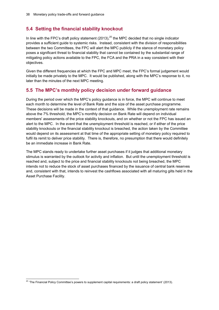## **5.4 Setting the financial stability knockout**

In line with the FPC's draft policy statement  $(2013)$ ,<sup>20</sup> the MPC decided that no single indicator provides a sufficient guide to systemic risks. Instead, consistent with the division of responsibilities between the two Committees, the FPC will alert the MPC publicly if the stance of monetary policy poses a significant threat to financial stability that cannot be contained by the substantial range of mitigating policy actions available to the FPC, the FCA and the PRA in a way consistent with their objectives.

Given the different frequencies at which the FPC and MPC meet, the FPC's formal judgement would initially be made privately to the MPC. It would be published, along with the MPC's response to it, no later than the minutes of the next MPC meeting.

## **5.5 The MPC's monthly policy decision under forward guidance**

During the period over which the MPC's policy guidance is in force, the MPC will continue to meet each month to determine the level of Bank Rate and the size of the asset purchase programme. These decisions will be made in the context of that guidance. While the unemployment rate remains above the 7% threshold, the MPC's monthly decision on Bank Rate will depend on individual members' assessments of the price stability knockouts, and on whether or not the FPC has issued an alert to the MPC. In the event that the unemployment threshold is reached, or if either of the price stability knockouts or the financial stability knockout is breached, the action taken by the Committee would depend on its assessment at that time of the appropriate setting of monetary policy required to fulfil its remit to deliver price stability. There is, therefore, no presumption that there would definitely be an immediate increase in Bank Rate.

The MPC stands ready to undertake further asset purchases if it judges that additional monetary stimulus is warranted by the outlook for activity and inflation. But until the unemployment threshold is reached and, subject to the price and financial stability knockouts not being breached, the MPC intends not to reduce the stock of asset purchases financed by the issuance of central bank reserves and, consistent with that, intends to reinvest the cashflows associated with all maturing gilts held in the Asset Purchase Facility.

1

<sup>&</sup>lt;sup>20</sup> 'The Financial Policy Committee's powers to supplement capital requirements: a draft policy statement' (2013).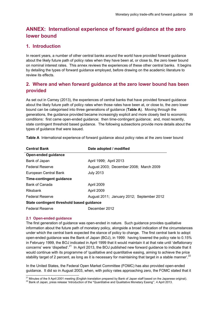# **ANNEX: International experience of forward guidance at the zero lower bound**

## **1. Introduction**

In recent years, a number of other central banks around the world have provided forward guidance about the likely future path of policy rates when they have been at, or close to, the zero lower bound on nominal interest rates. This annex reviews the experiences of these other central banks. It begins by detailing the types of forward guidance employed, before drawing on the academic literature to review its effects.

## **2. Where and when forward guidance at the zero lower bound has been provided**

As set out in Carney (2013), the experiences of central banks that have provided forward guidance about the likely future path of policy rates when those rates have been at, or close to, the zero lower bound can be categorised into three generations of guidance (**Table A**). Moving through the generations, the guidance provided became increasingly explicit and more closely tied to economic conditions: first came open-ended guidance; then time-contingent guidance; and, most recently, state contingent threshold based guidance. The following subsections provide more details about the types of guidance that were issued.

| <b>Central Bank</b>                       | Date adopted / modified                   |  |  |
|-------------------------------------------|-------------------------------------------|--|--|
| Open-ended guidance                       |                                           |  |  |
| Bank of Japan                             | April 1999; April 2013                    |  |  |
| <b>Federal Reserve</b>                    | August 2003; December 2008; March 2009    |  |  |
| European Central Bank                     | <b>July 2013</b>                          |  |  |
| <b>Time-contingent guidance</b>           |                                           |  |  |
| Bank of Canada                            | April 2009                                |  |  |
| Riksbank                                  | April 2009                                |  |  |
| <b>Federal Reserve</b>                    | August 2011; January 2012; September 2012 |  |  |
| State contingent threshold based guidance |                                           |  |  |
| <b>Federal Reserve</b>                    | December 2012                             |  |  |

**Table A** International experience of forward guidance about policy rates at the zero lower bound

#### **2.1 Open-ended guidance**

The first generation of guidance was open-ended in nature. Such guidance provides qualitative information about the future path of monetary policy, alongside a broad indication of the circumstances under which the central bank expected the stance of policy to change. The first central bank to adopt open-ended guidance was the Bank of Japan (BOJ), in 1999: having lowered the policy rate to 0.15% in February 1999, the BOJ indicated in April 1999 that it would maintain it at that rate until 'deflationary concerns' were 'dispelled'.<sup>21</sup> In April 2013, the BOJ published new forward guidance to indicate that it would continue with its programme of 'qualitative and quantitative easing, aiming to achieve the price stability target of 2 percent, as long as it is necessary for maintaining that target in a stable manner'.<sup>22</sup>

In the United States, the Federal Open Market Committee (FOMC) has also provided open-ended guidance. It did so in August 2003, when, with policy rates approaching zero, the FOMC stated that it

<sup>1</sup> <sup>21</sup> Minutes of the 9 April 2001 meeting (English translation prepared by Bank of Japan staff based on the Japanese original).<br><sup>22</sup> Bank of Japan, press release 'Introduction of the "Quantitative and Qualitative Monetary E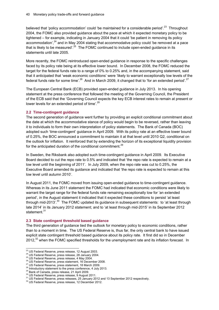believed that 'policy accommodation' could 'be maintained for a considerable period'.<sup>23</sup> Throughout 2004, the FOMC also provided guidance about the pace at which it expected monetary policy to be tightened – for example, indicating in January 2004 that it could 'be patient in removing its policy accommodation',  $24$  and in May 2004 stating that accommodative policy could 'be removed at a pace that is likely to be measured'.<sup>25</sup> The FOMC continued to include open-ended guidance in its statements until late 2005.

More recently, the FOMC reintroduced open-ended guidance in response to the specific challenges faced by its policy rate being at its effective lower bound. In December 2008, the FOMC reduced the target for the federal funds rate to a range of 0% to 0.25% and, in the accompanying statement, said that it anticipated that 'weak economic conditions' were 'likely to warrant exceptionally low levels of the federal funds rate for some time'.<sup>26</sup> And in March 2009, it changed that to 'for an extended period'.<sup>27</sup>

The European Central Bank (ECB) provided open-ended guidance in July 2013. In his opening statement at the press conference that followed the meeting of the Governing Council, the President of the ECB said that the 'Governing Council expects the key ECB interest rates to remain at present or lower levels for an extended period of time'.<sup>28</sup>

#### **2.2 Time-contingent guidance**

The second generation of guidance went further by providing an explicit conditional commitment about the date at which the accommodative stance of policy would begin to be reversed, rather than leaving it to individuals to form their own interpretation of policy statements. The Bank of Canada (BOC) adopted such 'time-contingent' guidance in April 2009. With its policy rate at an effective lower bound of 0.25%, the BOC announced a commitment to maintain it at that level until 2010 Q2, conditional on the outlook for inflation. It reinforced that by extending the horizon of its exceptional liquidity provision for the anticipated duration of the conditional commitment.<sup>29</sup>

In Sweden, the Riksbank also adopted such time-contingent guidance in April 2009. Its Executive Board decided to cut the repo rate to 0.5% and indicated that 'the repo rate is expected to remain at a low level until the beginning of 2011'. In July 2009, when the repo rate was cut to 0.25%, the Executive Board amended its guidance and indicated that 'the repo rate is expected to remain at this low level until autumn 2010'.

In August 2011, the FOMC moved from issuing open-ended guidance to time-contingent guidance. Whereas in its June 2011 statement the FOMC had indicated that economic conditions were likely to warrant the target range for the federal funds rate remaining exceptionally low for 'an extended period', in the August statement it indicated that it expected these conditions to persist 'at least through mid-2013'.<sup>30</sup> The FOMC updated its quidance in subsequent statements: to 'at least through late 2014' in its January 2012 statement; and to 'at least through mid-2015' in its September 2012 statement<sup>31</sup>

#### **2.3 State contingent threshold based guidance**

The third generation of guidance tied the outlook for monetary policy to economic conditions, rather than to a moment in time. The US Federal Reserve is, thus far, the only central bank to have issued explicit state contingent threshold based guidance about its policy rate. It first did so in December  $2012<sup>32</sup>$  when the FOMC specified thresholds for the unemployment rate and its inflation forecast. In

<sup>&</sup>lt;sup>23</sup> US Federal Reserve, press release, 12 August 2003.

<sup>&</sup>lt;sup>24</sup> US Federal Reserve, press release, 28 January 2004.<br>
<sup>25</sup> US Federal Reserve, press release, 4 May 2004.<br>
<sup>26</sup> US Federal Reserve, press statement, 16 December 2008.<br>
<sup>27</sup> US Federal Reserve, press statement, 18 Marc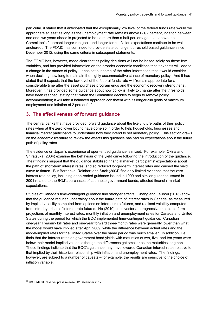particular, it stated that it anticipated that the exceptionally low level of the federal funds rate would 'be appropriate at least as long as the unemployment rate remains above 6-1/2 percent, inflation between one and two years ahead is projected to be no more than a half percentage point above the Committee's 2 percent longer-run goal, and longer-term inflation expectations continue to be well anchored'. The FOMC has continued to provide state contingent threshold based guidance since December 2012, using the same criteria in subsequent statements.

The FOMC has, however, made clear that its policy decisions will not be based solely on these few variables, and has provided information on the broader economic conditions that it expects will lead to a change in the stance of policy. It has set out some of the other information that it would consider when deciding how long to maintain the highly accommodative stance of monetary policy. And it has stated that it expects that the low level of the federal funds rate will 'remain appropriate for a considerable time after the asset purchase program ends and the economic recovery strengthens'. Moreover, it has provided some guidance about how policy is likely to change after the thresholds have been reached, stating that 'when the Committee decides to begin to remove policy accommodation; it will take a balanced approach consistent with its longer-run goals of maximum employment and inflation of 2 percent'.<sup>33</sup>

## **3. The effectiveness of forward guidance**

The central banks that have provided forward guidance about the likely future paths of their policy rates when at the zero lower bound have done so in order to help households, businesses and financial market participants to understand how they intend to set monetary policy. This section draws on the academic literature to review the effects this guidance has had on expectations about the future path of policy rates.

The evidence on Japan's experience of open-ended guidance is mixed. For example, Okina and Shiratsuka (2004) examine the behaviour of the yield curve following the introduction of the guidance. Their findings suggest that the guidance stabilised financial market participants' expectations about the path of short-term interest rates, and so reduced longer-term interest rates and caused the yield curve to flatten. But Bernanke, Reinhart and Sack (2004) find only limited evidence that the zero interest rate policy, including open-ended guidance issued in 1999 and similar guidance issued in 2001 related to the BOJ's purchases of Japanese government bonds, affected financial market expectations.

Studies of Canada's time-contingent guidance find stronger effects. Chang and Feunou (2013) show that the guidance reduced uncertainty about the future path of interest rates in Canada, as measured by implied volatility computed from options on interest rate futures, and realised volatility computed from intraday prices of interest rate futures. He (2010) uses vector autoregressive models to form projections of monthly interest rates, monthly inflation and unemployment rates for Canada and United States during the period for which the BOC implemented time-contingent guidance. Canadian one-year Treasury bill rates and one-year forward three-month rates were generally lower than what the model would have implied after April 2009, while the difference between actual rates and the model-implied rates for the United States over the same period was much smaller. In addition, He finds that the interest rates on government bond yields with maturities of two, five, and ten years were below their model-implied values, although the differences get smaller as the maturities lengthen. These findings indicate that the BOC's guidance may have lowered Canadian interest rates relative to that implied by their historical relationship with inflation and unemployment rates. The findings, however, are subject to a number of caveats – for example, the results are sensitive to the choice of inflation variable.

<sup>1</sup> <sup>33</sup> US Federal Reserve, press release, 12 December 2012.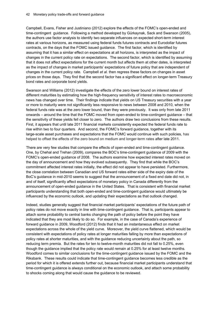Campbell, Evans, Fisher and Justiniano (2012) explore the effects of the FOMC's open-ended and time-contingent guidance. Following a method developed by Gürkaynak, Sack and Swanson (2005), the authors use factor analysis to identify two separate influences on expected short-term interest rates at various horizons, as measured using federal funds futures contracts and Eurodollar futures contracts, on the days that the FOMC issued guidance. The first factor, which is identified by assuming that it has a similar effect on expectations at all horizons, is interpreted as the impact of changes in the current policy rate on expectations. The second factor, which is identified by assuming that it does not affect expectations for the current month but affects them at other dates, is interpreted as the impact of changes in market participants' expectations of future policy that are independent of changes in the current policy rate. Campbell *et al.* then regress these factors on changes in asset prices on those days. They find that the second factor has a significant effect on longer-term Treasury bond rates and corporate bond yields.

Swanson and Williams (2012) investigate the effects of the zero lower bound on interest rates of different maturities by estimating how the high-frequency sensitivity of interest rates to macroeconomic news has changed over time. Their findings indicate that yields on US Treasury securities with a year or more to maturity were not significantly less responsive to news between 2008 and 2010, when the federal funds rate was at the zero lower bound, than they were previously. It was only from late 2011 onwards – around the time that the FOMC moved from open-ended to time-contingent guidance – that the sensitivity of these yields fell closer to zero. The authors draw two conclusions from these results. First, it appears that until late 2011 financial markets consistently expected the federal funds rate to rise within two to four quarters. And second, the FOMC's forward guidance, together with its large-scale asset purchases and expectations that the FOMC would continue with such policies, has helped to offset the effects of the zero bound on medium and longer-term rates after late 2011.

There are very few studies that compare the effects of open-ended and time-contingent guidance. One, by Chehal and Trehan (2009), compares the BOC's time-contingent guidance of 2009 with the FOMC's open-ended guidance of 2008. The authors examine how expected interest rates moved on the day of announcement and how they evolved subsequently. They find that while the BOC's commitment affected interest rates initially, the effect did not appear to have persisted. Furthermore, the close correlation between Canadian and US forward rates either side of the expiry date of the BoC's guidance in mid-2010 seems to suggest that the announcement of a fixed end date did not, in and of itself, significantly affect expectations of monetary policy in Canada differently from the announcement of open-ended guidance in the United States. That is consistent with financial market participants understanding that both open-ended and time-contingent guidance would ultimately be influenced by the economic outlook, and updating their expectations as that outlook changed.

Indeed, studies generally suggest that financial market participants' expectations of the future path of policy rates do not move exactly in line with time-contingent guidance. That is, participants appear to attach some probability to central banks changing the path of policy before the point they have indicated that they are most likely to do so. For example, in the case of Canada's experience of forward guidance in 2009, Woodford (2012) finds that it had an instantaneous effect on market expectations across the whole of the yield curve. Moreover, the yield curve flattened, which would be consistent with expectations of policy rates at longer maturities falling by more than expectations of policy rates at shorter maturities, and with the guidance reducing uncertainty about the path, so reducing term premia. But the rates for ten to twelve-month maturities did not fall to 0.25%, even though the guidance implied that the policy rate would remain at 0.25% for at least twelve months. Woodford comes to similar conclusions for the time-contingent guidance issued by the FOMC and the Riksbank. These results could indicate that time-contingent guidance becomes less credible as the period for which it is offered extends further out, because financial market participants understand that time-contingent guidance is always conditional on the economic outlook, and attach some probability to shocks coming along that would cause the guidance to be reviewed.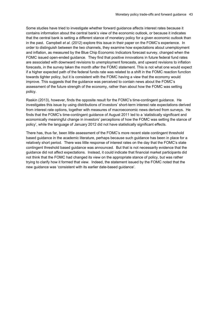Some studies have tried to investigate whether forward guidance affects interest rates because it contains information about the central bank's view of the economic outlook, or because it indicates that the central bank is setting a different stance of monetary policy for a given economic outlook than in the past. Campbell *et al.* (2012) explore this issue in their paper on the FOMC's experience. In order to distinguish between the two channels, they examine how expectations about unemployment and inflation, as measured by the Blue Chip Economic Indicators forecast survey, changed when the FOMC issued open-ended guidance. They find that positive innovations in future federal fund rates are associated with downward revisions to unemployment forecasts, and upward revisions to inflation forecasts, in the survey taken the month after the FOMC statement. This is not what one would expect if a higher expected path of the federal funds rate was related to a shift in the FOMC reaction function towards tighter policy, but it is consistent with the FOMC having a view that the economy would improve. This suggests that the guidance was perceived to contain news about the FOMC's assessment of the future strength of the economy, rather than about how the FOMC was setting policy.

Raskin (2013), however, finds the opposite result for the FOMC's time-contingent guidance. He investigates this issue by using distributions of investors' short-term interest rate expectations derived from interest rate options, together with measures of macroeconomic news derived from surveys. He finds that the FOMC's time-contingent guidance of August 2011 led to a 'statistically significant and economically meaningful change in investors' perceptions of how the FOMC was setting the stance of policy', while the language of January 2012 did not have statistically significant effects.

There has, thus far, been little assessment of the FOMC's more recent state contingent threshold based guidance in the academic literature, perhaps because such guidance has been in place for a relatively short period. There was little response of interest rates on the day that the FOMC's state contingent threshold based guidance was announced. But that is not necessarily evidence that the guidance did not affect expectations. Instead, it could indicate that financial market participants did not think that the FOMC had changed its view on the appropriate stance of policy, but was rather trying to clarify how it formed that view. Indeed, the statement issued by the FOMC noted that the new guidance was 'consistent with its earlier date-based guidance'.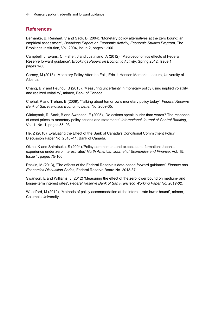## **References**

Bernanke, B, Reinhart, V and Sack, B (2004), 'Monetary policy alternatives at the zero bound: an empirical assessment', *Brookings Papers on Economic Activity, Economic Studies Program,* The Brookings Institution, Vol. 2004, Issue 2, pages 1-100.

Campbell, J, Evans, C, Fisher, J and Justiniano, A (2012), 'Macroeconomics effects of Federal Reserve forward guidance', *Brookings Papers on Economic Activity*, Spring 2012, Issue 1, pages 1-80.

Carney, M (2013), 'Monetary Policy After the Fall', Eric J. Hanson Memorial Lecture, University of Alberta.

Chang, B.Y and Feunou, B (2013), 'Measuring uncertainty in monetary policy using implied volatility and realized volatility', mimeo, Bank of Canada.

Chehal, P and Trehan, B (2009), 'Talking about tomorrow's monetary policy today', *Federal Reserve Bank of San Francisco Economic Letter* No. 2009-35.

Gürkaynak, R, Sack, B and Swanson, E (2005), 'Do actions speak louder than words? The response of asset prices to monetary policy actions and statements' *International Journal of Central Banking*, Vol. 1, No. 1, pages 55–93.

He, Z (2010) 'Evaluating the Effect of the Bank of Canada's Conditional Commitment Policy', Discussion Paper No. 2010–11, Bank of Canada.

Okina, K and Shiratsuka, S (2004),'Policy commitment and expectations formation: Japan's experience under zero interest rates' *North American Journal of Economics and Finance*, Vol. 15, Issue 1, pages 75-100.

Raskin, M (2013), 'The effects of the Federal Reserve's date-based forward guidance', *Finance and Economics Discussion Series*, Federal Reserve Board No. 2013-37.

Swanson, E and Williams, J (2012) 'Measuring the effect of the zero lower bound on medium- and longer-term interest rates', *Federal Reserve Bank of San Francisco Working Paper No. 2012-02*.

Woodford, M (2012), 'Methods of policy accommodation at the interest-rate lower bound', mimeo, Columbia University.